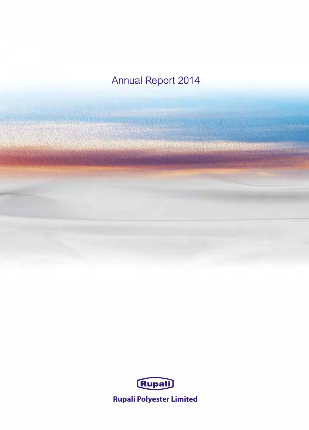## Annual Report 2014



**Rupali Polyester Limited**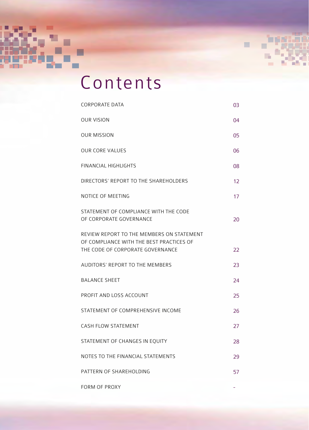

# Contents

- 20

 $\mathbf{u}$ 

.

×,

| <b>CORPORATE DATA</b>                                                                                                     | 03 |
|---------------------------------------------------------------------------------------------------------------------------|----|
| <b>OUR VISION</b>                                                                                                         | 04 |
| <b>OUR MISSION</b>                                                                                                        | 05 |
| <b>OUR CORE VALUES</b>                                                                                                    | 06 |
| <b>FINANCIAL HIGHLIGHTS</b>                                                                                               | 08 |
| DIRECTORS' REPORT TO THE SHAREHOLDERS                                                                                     | 12 |
| NOTICE OF MEETING                                                                                                         | 17 |
| STATEMENT OF COMPLIANCE WITH THE CODE<br>OF CORPORATE GOVERNANCE                                                          | 20 |
| REVIEW REPORT TO THE MEMBERS ON STATEMENT<br>OF COMPLIANCE WITH THE BEST PRACTICES OF<br>THE CODE OF CORPORATE GOVERNANCE | 22 |
| <b>AUDITORS' REPORT TO THE MEMBERS</b>                                                                                    | 23 |
| <b>BALANCE SHEET</b>                                                                                                      | 24 |
| PROFIT AND LOSS ACCOUNT                                                                                                   | 25 |
| STATEMENT OF COMPREHENSIVE INCOME                                                                                         | 26 |
| <b>CASH FLOW STATEMENT</b>                                                                                                | 27 |
| STATEMENT OF CHANGES IN EQUITY                                                                                            | 28 |
| NOTES TO THE FINANCIAL STATEMENTS                                                                                         | 29 |
| PATTERN OF SHAREHOLDING                                                                                                   | 57 |
| FORM OF PROXY                                                                                                             |    |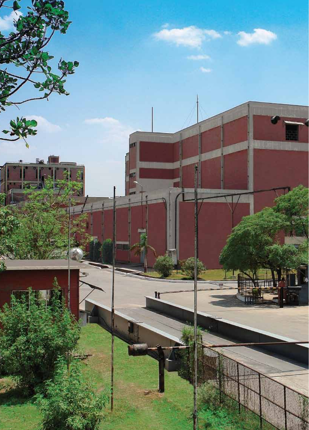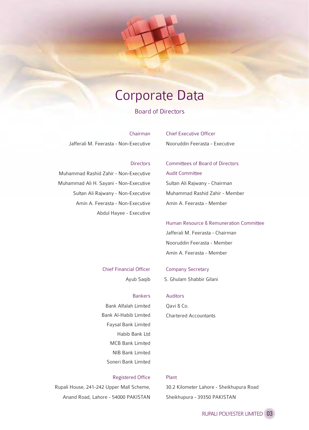## Corporate Data

#### Board of Directors

Chairman Jafferali M. Feerasta - Non-Executive Chief Executive Officer Nooruddin Feerasta - Executive

#### **Directors**

Muhammad Rashid Zahir - Non-Executive Muhammad Ali H. Sayani - Non-Executive Sultan Ali Rajwany - Non-Executive Amin A. Feerasta - Non-Executive Abdul Hayee - Executive

### Committees of Board of Directors Audit Committee Sultan Ali Rajwany - Chairman Muhammad Rashid Zahir - Member Amin A. Feerasta - Member

#### Human Resource & Remuneration Committee

Jafferali M. Feerasta - Chairman Nooruddin Feerasta - Member Amin A. Feerasta - Member

Chief Financial Officer Ayub Saqib

#### Company Secretary

S. Ghulam Shabbir Gilani

#### Bankers

Bank Alfalah Limited Bank Al-Habib Limited Faysal Bank Limited Habib Bank Ltd MCB Bank Limited NIB Bank Limited Soneri Bank Limited

#### Registered Office

Rupali House, 241-242 Upper Mall Scheme, Anand Road, Lahore - 54000 PAKISTAN

#### Auditors

Qavi & Co. Chartered Accountants

#### Plant

30.2 Kilometer Lahore - Sheikhupura Road Sheikhupura - 39350 PAKISTAN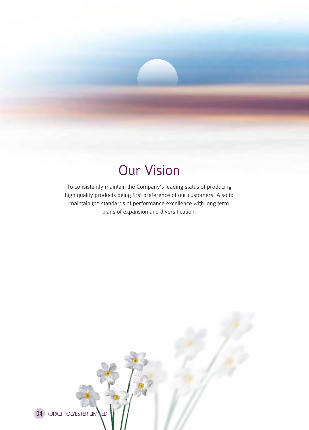# Our Vision

To consistently maintain the Company's leading status of producing high quality products being first preference of our customers. Also to maintain the standards of performance excellence with long term plans of expansion and diversification.

04 RUPALI POLYESTER LIMITED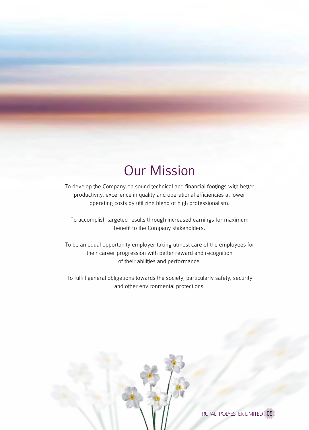# Our Mission

To develop the Company on sound technical and financial footings with better productivity, excellence in quality and operational efficiencies at lower operating costs by utilizing blend of high professionalism.

To accomplish targeted results through increased earnings for maximum benefit to the Company stakeholders.

To be an equal opportunity employer taking utmost care of the employees for their career progression with better reward and recognition of their abilities and performance.

To fulfill general obligations towards the society, particularly safety, security and other environmental protections.

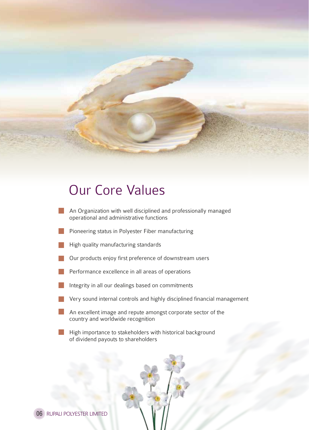# Our Core Values

- An Organization with well disciplined and professionally managed operational and administrative functions
- Pioneering status in Polyester Fiber manufacturing
- High quality manufacturing standards
- Our products enjoy first preference of downstream users
- Performance excellence in all areas of operations
- Integrity in all our dealings based on commitments
- Very sound internal controls and highly disciplined financial management
- An excellent image and repute amongst corporate sector of the country and worldwide recognition
- **Contract** High importance to stakeholders with historical background of dividend payouts to shareholders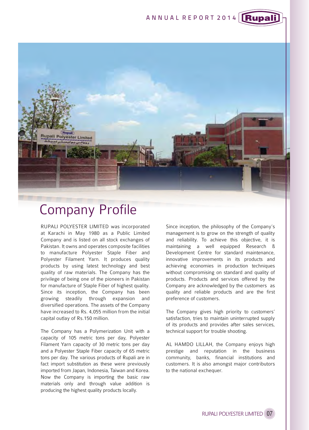ANNUAL REPORT 2014 **Rupali** 



## Company Profile

RUPALI POLYESTER LIMITED was incorporated at Karachi in May 1980 as a Public Limited Company and is listed on all stock exchanges of Pakistan. It owns and operates composite facilities to manufacture Polyester Staple Fiber and Polyester Filament Yarn. It produces quality products by using latest technology and best quality of raw materials. The Company has the privilege of being one of the pioneers in Pakistan for manufacture of Staple Fiber of highest quality. Since its inception, the Company has been growing steadily through expansion and diversified operations. The assets of the Company have increased to Rs. 4,055 million from the initial capital outlay of Rs.150 million.

The Company has a Polymerization Unit with a capacity of 105 metric tons per day, Polyester Filament Yarn capacity of 30 metric tons per day and a Polyester Staple Fiber capacity of 65 metric tons per day. The various products of Rupali are in fact import substitution as these were previously imported from Japan, Indonesia, Taiwan and Korea. Now the Company is importing the basic raw materials only and through value addition is producing the highest quality products locally.

Since inception, the philosophy of the Company's management is to grow on the strength of quality and reliability. To achieve this objective, it is maintaining a well equipped Research & Development Centre for standard maintenance, innovative improvements in its products and achieving economies in production techniques without compromising on standard and quality of products. Products and services offered by the Company are acknowledged by the customers as quality and reliable products and are the first preference of customers.

The Company gives high priority to customers' satisfaction, tries to maintain uninterrupted supply of its products and provides after sales services, technical support for trouble shooting.

AL HAMDO LILLAH, the Company enjoys high prestige and reputation in the business community, banks, financial institutions and customers. It is also amongst major contributors to the national exchequer.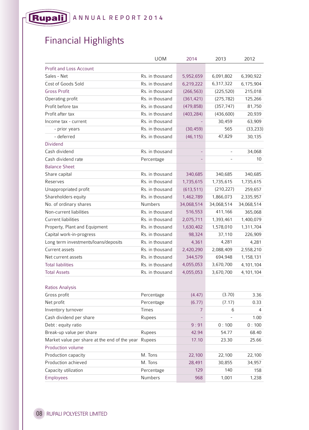## Financial Highlights

|                                               | <b>UOM</b>      | 2014              | 2013       | 2012       |
|-----------------------------------------------|-----------------|-------------------|------------|------------|
| Profit and Loss Account                       |                 |                   |            |            |
| Sales - Net                                   | Rs. in thousand | 5,952,659         | 6,091,802  | 6,390,922  |
| Cost of Goods Sold                            | Rs. in thousand | 6,219,222         | 6,317,322  | 6,175,904  |
| <b>Gross Profit</b>                           | Rs. in thousand | (266, 563)        | (225, 520) | 215,018    |
| Operating profit                              | Rs. in thousand | (361, 421)        | (275, 782) | 125,266    |
| Profit before tax                             | Rs. in thousand | (479, 858)        | (357, 747) | 81,750     |
| Profit after tax                              | Rs. in thousand | (403, 284)        | (436, 600) | 20,939     |
| Income tax - current                          | Rs. in thousand |                   | 30,459     | 63,909     |
| - prior years                                 | Rs. in thousand | (30, 459)         | 565        | (33, 233)  |
| - deferred                                    | Rs. in thousand | (46, 115)         | 47,829     | 30,135     |
| <b>Dividend</b>                               |                 |                   |            |            |
| Cash dividend                                 | Rs. in thousand | $\qquad \qquad -$ |            | 34,068     |
| Cash dividend rate                            | Percentage      | ÷                 |            | 10         |
| <b>Balance Sheet</b>                          |                 |                   |            |            |
| Share capital                                 | Rs. in thousand | 340,685           | 340,685    | 340,685    |
| Reserves                                      | Rs. in thousand | 1,735,615         | 1,735,615  | 1,735,615  |
| Unappropriated profit                         | Rs. in thousand | (613, 511)        | (210, 227) | 259,657    |
| Shareholders equity                           | Rs. in thousand | 1,462,789         | 1,866,073  | 2,335,957  |
| No. of ordinary shares                        | Numbers         | 34,068,514        | 34,068,514 | 34,068,514 |
| Non-current liabilities                       | Rs. in thousand | 516,553           | 411,166    | 365,068    |
| <b>Current liabilities</b>                    | Rs. in thousand | 2,075,711         | 1,393,461  | 1,400,079  |
| Property, Plant and Equipment                 | Rs. in thousand | 1,630,402         | 1,578,010  | 1,311,704  |
| Capital work-in-progress                      | Rs. in thousand | 98,324            | 37,110     | 226,909    |
| Long term investments/loans/deposits          | Rs. in thousand | 4,361             | 4,281      | 4,281      |
| Current assets                                | Rs. in thousand | 2,420,290         | 2,088,409  | 2,558,210  |
| Net current assets                            | Rs. in thousand | 344,579           | 694,948    | 1,158,131  |
| <b>Total liabilities</b>                      | Rs. in thousand | 4,055,053         | 3,670,700  | 4,101,104  |
| <b>Total Assets</b>                           | Rs. in thousand | 4,055,053         | 3,670,700  | 4,101,104  |
| <b>Ratios Analysis</b>                        |                 |                   |            |            |
| Gross profit                                  | Percentage      | (4.47)            | (3.70)     | 3.36       |
| Net profit                                    | Percentage      | (6.77)            | (7.17)     | 0.33       |
| Inventory turnover                            | Times           | $\overline{7}$    | 6          | 4          |
| Cash dividend per share                       | Rupees          |                   |            | 1.00       |
| Debt : equity ratio                           |                 | 9:91              | 0:100      | 0:100      |
| Break-up value per share                      | Rupees          | 42.94             | 54.77      | 68.40      |
| Market value per share at the end of the year | Rupees          | 17.10             | 23.30      | 25.66      |
| Production volume                             |                 |                   |            |            |
| Production capacity                           | M. Tons         | 22,100            | 22,100     | 22,100     |
| Production achieved                           | M. Tons         | 28,491            | 30,855     | 34,957     |
| Capacity utilization                          | Percentage      | 129               | 140        | 158        |
| Employees                                     | Numbers         | 968               | 1,001      | 1,238      |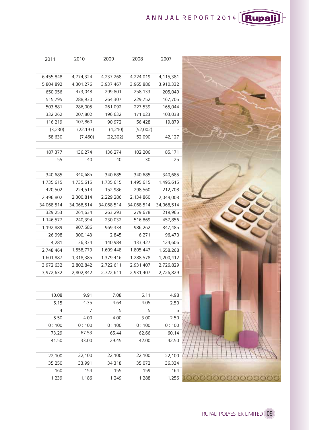A N N U A L R E P O R T 2014 **Rupali** 



| 2011       | 2010       | 2009       | 2008       | 2007       |
|------------|------------|------------|------------|------------|
|            |            |            |            |            |
| 6,455,848  | 4,774,324  | 4,237,268  | 4,224,019  | 4,115,381  |
| 5,804,892  | 4,301,276  | 3,937,467  | 3,965,886  | 3,910,332  |
| 650,956    | 473,048    | 299,801    | 258,133    | 205,049    |
| 515,795    | 288,930    | 264,307    | 229,752    | 167,705    |
| 503,881    | 286,005    | 261,092    | 227,539    | 165,044    |
| 332,262    | 207,802    | 196,632    | 171,023    | 103,038    |
| 116.219    | 107,860    | 90,972     | 56,428     | 19,879     |
| (3,230)    | (22, 197)  | (4,210)    | (52,002)   |            |
| 58,630     | (7, 460)   | (22, 302)  | 52,090     | 42,127     |
|            |            |            |            |            |
| 187,377    | 136,274    | 136,274    | 102,206    | 85,171     |
| 55         | 40         | 40         | 30         | 25         |
|            |            |            |            |            |
| 340,685    | 340,685    | 340,685    | 340,685    | 340,685    |
| 1,735,615  | 1,735,615  | 1,735,615  | 1,495,615  | 1,495,615  |
| 420,502    | 224,514    | 152,986    | 298,560    | 212,708    |
| 2,496,802  | 2,300,814  | 2,229,286  | 2,134,860  | 2,049,008  |
| 34,068,514 | 34,068,514 | 34,068,514 | 34,068,514 | 34,068,514 |
| 329,253    | 261,634    | 263,293    | 279,678    | 219,965    |
| 1,146,577  | 240,394    | 230,032    | 516,869    | 457,856    |
| 1,192,889  | 907,586    | 969,334    | 986,262    | 847,485    |
| 26,998     | 300,143    | 2,845      | 6,271      | 96,470     |
| 4,281      | 36,334     | 140,984    | 133,427    | 124,606    |
| 2,748,464  | 1,558,779  | 1,609,448  | 1,805,447  | 1,658,268  |
| 1,601,887  | 1,318,385  | 1,379,416  | 1,288,578  | 1,200,412  |
| 3,972,632  | 2,802,842  | 2,722,611  | 2,931,407  | 2,726,829  |
| 3,972,632  | 2,802,842  | 2,722,611  | 2,931,407  | 2,726,829  |
|            |            |            |            |            |
| 10.08      | 9.91       | 7.08       | 6.11       | 4.98       |
| 5.15       | 4.35       | 4.64       | 4.05       | 2.50       |
| 4          | 7          | 5          | 5          | 5          |
| 5.50       | 4.00       | 4.00       | 3.00       | 2.50       |
| 0:100      | 0:100      | 0:100      | 0:100      | 0:100      |
| 73.29      | 67.53      | 65.44      | 62.66      | 60.14      |
| 41.50      | 33.00      | 29.45      | 42.00      | 42.50      |
|            |            |            |            |            |
| 22,100     | 22,100     | 22,100     | 22,100     | 22,100     |
| 35,250     | 33,991     | 34,318     | 35,072     | 36,334     |
| 160        | 154        | 155        | 159        | 164        |
| 1,239      | 1,186      | 1,249      | 1,288      | 1,256      |

00000000000000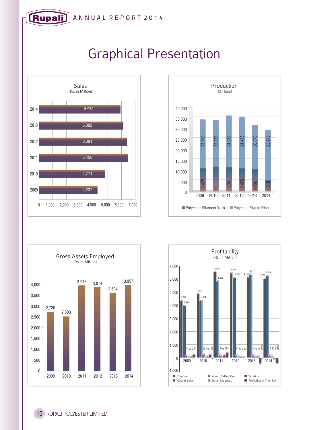## Graphical Presentation







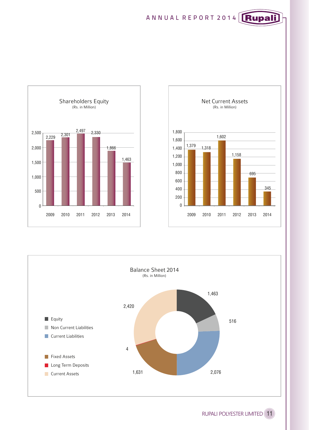







RUPALI POLYESTER LIMITED (11)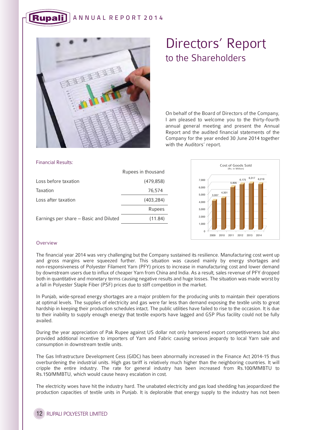

Loss before taxation (479,858) Taxation 76,574 Loss after taxation (403,284)

Earnings per share – Basic and Diluted (11.84)

## Directors' Report to the Shareholders

On behalf of the Board of Directors of the Company, I am pleased to welcome you to the thirty-fourth annual general meeting and present the Annual Report and the audited financial statements of the Company for the year ended 30 June 2014 together with the Auditors' report.



#### **Overview**

The financial year 2014 was very challenging but the Company sustained its resilience. Manufacturing cost went up and gross margins were squeezed further. This situation was caused mainly by energy shortages and non-responsiveness of Polyester Filament Yarn (PFY) prices to increase in manufacturing cost and lower demand by downstream users due to influx of cheaper Yarn from China and India. As a result, sales revenue of PFY dropped both in quantitative and monetary terms causing negative results and huge losses. The situation was made worst by a fall in Polyester Staple Fiber (PSF) prices due to stiff competition in the market.

Rupees

Rupees in thousand

In Punjab, wide-spread energy shortages are a major problem for the producing units to maintain their operations at optimal levels. The supplies of electricity and gas were far less than demand exposing the textile units to great hardship in keeping their production schedules intact. The public utilities have failed to rise to the occasion. It is due to their inability to supply enough energy that textile exports have lagged and GSP Plus facility could not be fully availed.

During the year appreciation of Pak Rupee against US dollar not only hampered export competitiveness but also provided additional incentive to importers of Yarn and Fabric causing serious jeopardy to local Yarn sale and consumption in downstream textile units.

The Gas Infrastructure Development Cess (GIDC) has been abnormally increased in the Finance Act 2014-15 thus overburdening the industrial units. High gas tariff is relatively much higher than the neighboring countries. It will cripple the entire industry. The rate for general industry has been increased from Rs.100/MMBTU to Rs.150/MMBTU, which would cause heavy escalation in cost.

The electricity woes have hit the industry hard. The unabated electricity and gas load shedding has jeopardized the production capacities of textile units in Punjab. It is deplorable that energy supply to the industry has not been

Financial Results: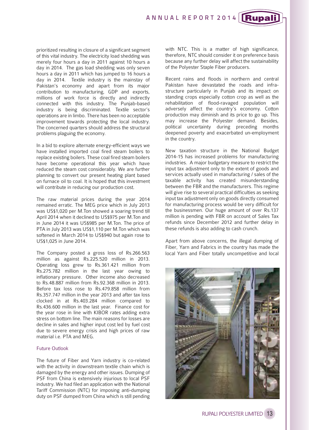ANNUAL REPORT 2014 **Rupal** 



prioritized resulting in closure of a significant segment of this vital industry. The electricity load shedding was merely four hours a day in 2011 against 10 hours a day in 2014. The gas load shedding was only seven hours a day in 2011 which has jumped to 16 hours a day in 2014. Textile industry is the mainstay of Pakistan's economy and apart from its major contribution to manufacturing, GDP and exports, millions of work force is directly and indirectly connected with this industry. The Punjab-based industry is being discriminated. Textile sector's operations are in limbo. There has been no acceptable improvement towards protecting the local industry. The concerned quarters should address the structural problems plaguing the economy.

In a bid to explore alternate energy-efficient ways we have installed imported coal fired steam boilers to replace existing boilers. These coal fired steam boilers have become operational this year which have reduced the steam cost considerably. We are further planning to convert our present heating plant based on furnace oil to coal. It is hoped that this investment will contribute in reducing our production cost.

The raw material prices during the year 2014 remained erratic. The MEG price which in July 2013 was US\$1,020 per M.Ton showed a soaring trend till April 2014 when it declined to US\$975 per M.Ton and in June 2014 it was US\$985 per M.Ton. The price of PTA in July 2013 was US\$1,110 per M.Ton which was softened in March 2014 to US\$940 but again rose to US\$1,025 in June 2014.

The Company posted a gross loss of Rs.266.563 million as against Rs.225.520 million in 2013. Operating loss grew to Rs.361.421 million from Rs.275.782 million in the last year owing to inflationary pressure. Other income also decreased to Rs.48.887 million from Rs.92.368 million in 2013. Before tax loss rose to Rs.479.858 million from Rs.357.747 million in the year 2013 and after tax loss clocked in at Rs.403.284 million compared to Rs.436.600 million in the last year. Finance cost for the year rose in line with KIBOR rates adding extra stress on bottom line. The main reasons for losses are decline in sales and higher input cost led by fuel cost due to severe energy crisis and high prices of raw material i.e. PTA and MEG.

#### Future Outlook

The future of Fiber and Yarn industry is co-related with the activity in downstream textile chain which is damaged by the energy and other issues. Dumping of PSF from China is extensively injurious to local PSF industry. We had filed an application with the National Tariff Commission (NTC) for imposing anti-dumping duty on PSF dumped from China which is still pending

with NTC. This is a matter of high significance, therefore, NTC should consider it on preference basis because any further delay will affect the sustainability of the Polyester Staple Fiber producers.

Recent rains and floods in northern and central Pakistan have devastated the roads and infrastructure particularly in Punjab and its impact on standing crops especially cotton crop as well as the rehabilitation of flood-ravaged population will adversely affect the country's economy. Cotton production may diminish and its price to go up. This may increase the Polyester demand. Besides, political uncertainty during preceding months deepened poverty and exacerbated un-employment in the country.

New taxation structure in the National Budget 2014-15 has increased problems for manufacturing industries. A major budgetary measure to restrict the input tax adjustment only to the extent of goods and services actually used in manufacturing / sales of the taxable activity has created misunderstanding between the FBR and the manufacturers. This regime will give rise to several practical difficulties as seeking input tax adjustment only on goods directly consumed for manufacturing process would be very difficult for the businessmen. Our huge amount of over Rs.137 million is pending with FBR on account of Sales Tax refunds since December 2012 and further delay in these refunds is also adding to cash crunch.

Apart from above concerns, the illegal dumping of Fiber, Yarn and Fabrics in the country has made the local Yarn and Fiber totally uncompetitive and local

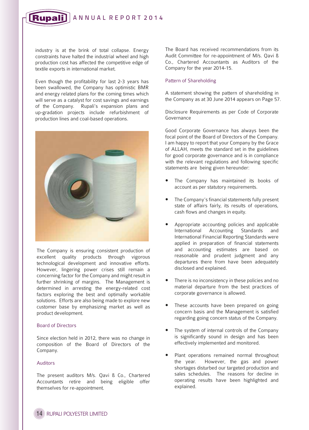

industry is at the brink of total collapse. Energy constraints have halted the industrial wheel and high production cost has affected the competitive edge of textile exports in international market.

Even though the profitability for last 2-3 years has been swallowed, the Company has optimistic BMR and energy related plans for the coming times which will serve as a catalyst for cost savings and earnings of the Company. Rupali's expansion plans and up-gradation projects include refurbishment of production lines and coal-based operations.



The Company is ensuring consistent production of excellent quality products through vigorous technological development and innovative efforts. However, lingering power crises still remain a concerning factor for the Company and might result in further shrinking of margins. The Management is determined in arresting the energy-related cost factors exploring the best and optimally workable solutions. Efforts are also being made to explore new customer base by emphasizing market as well as product development.

#### Board of Directors

Since election held in 2012, there was no change in composition of the Board of Directors of the Company.

#### Auditors

The present auditors M/s. Qavi & Co., Chartered Accountants retire and being eligible offer themselves for re-appointment.

The Board has received recommendations from its Audit Committee for re-appointment of M/s. Qavi & Co., Chartered Accountants as Auditors of the Company for the year 2014-15.

#### Pattern of Shareholding

A statement showing the pattern of shareholding in the Company as at 30 June 2014 appears on Page 57.

Disclosure Requirements as per Code of Corporate Governance

Good Corporate Governance has always been the focal point of the Board of Directors of the Company. I am happy to report that your Company by the Grace of ALLAH, meets the standard set in the guidelines for good corporate governance and is in compliance with the relevant regulations and following specific statements are being given hereunder:

- The Company has maintained its books of account as per statutory requirements.
- The Company's financial statements fully present state of affairs fairly, its results of operations, cash flows and changes in equity.
- Appropriate accounting policies and applicable International Accounting Standards and International Financial Reporting Standards were applied in preparation of financial statements and accounting estimates are based on reasonable and prudent judgment and any departures there from have been adequately disclosed and explained.
- There is no inconsistency in these policies and no material departure from the best practices of corporate governance is allowed.
- These accounts have been prepared on going concern basis and the Management is satisfied regarding going concern status of the Company.
- The system of internal controls of the Company is significantly sound in design and has been effectively implemented and monitored.
- Plant operations remained normal throughout the year. However, the gas and power shortages disturbed our targeted production and sales schedules. The reasons for decline in operating results have been highlighted and explained.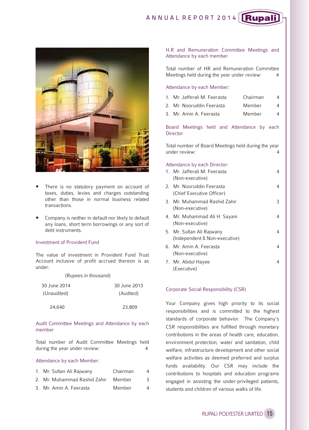ANNUAL REPORT 2014 **Rupali** 



- There is no statutory payment on account of taxes, duties, levies and charges outstanding other than those in normal business related transactions.
- Company is neither in default nor likely to default any loans, short term borrowings or any sort of debt instruments.

#### Investment of Provident Fund

The value of investment in Provident Fund Trust Account inclusive of profit accrued thereon is as under:

#### (Rupees in thousand)

| 30 June 2014 | 30 June 2013 |
|--------------|--------------|
| (Unaudited)  | (Audited)    |
| 24,640       | 23,809       |

#### Audit Committee Meetings and Attendance by each member

Total number of Audit Committee Meetings held during the year under review:

#### Attendance by each Member:

| 1. Mr. Sultan Ali Rajwany    | Chairman | 4 |
|------------------------------|----------|---|
| 2. Mr. Muhammad Rashid Zahir | Member   | 3 |
| 3. Mr. Amin A. Feerasta      | Member   | 4 |

#### H.R and Remuneration Committee Meetings and Attendance by each member

Total number of HR and Remuneration Committee Meetings held during the year under review: 4

#### Attendance by each Member:

| 1. Mr. Jafferali M. Feerasta | Chairman | 4 |
|------------------------------|----------|---|
| 2. Mr. Nooruddin Feerasta    | Member   | 4 |
| 3. Mr. Amin A. Feerasta      | Member   | 4 |

Board Meetings held and Attendance by each **Director** 

Total number of Board Meetings held during the year under review: 4

#### Attendance by each Director:

- 1. Mr. Jafferali M. Feerasta (Non-executive) 4
- 2. Mr. Nooruddin Feerasta (Chief Executive Officer) 4
- 3. Mr. Muhammad Rashid Zahir (Non-executive) 3
- 4. Mr. Muhammad Ali H. Sayani (Non-executive)

4

- 5. Mr. Sultan Ali Rajwany (Independent & Non-executive) 4
- 6. Mr. Amin A. Feerasta (Non-executive) 4 4
- 7. Mr. Abdul Hayee (Executive)

#### Corporate Social Responsibility (CSR)

Your Company gives high priority to its social responsibilities and is committed to the highest standards of corporate behavior. The Company's CSR responsibilities are fulfilled through monetary contributions in the areas of health care, education, environment protection, water and sanitation, child welfare, infrastructure development and other social welfare activities as deemed preferred and surplus funds availability. Our CSR may include the contributions to hospitals and education programs engaged in assisting the under-privileged patients, students and children of various walks of life.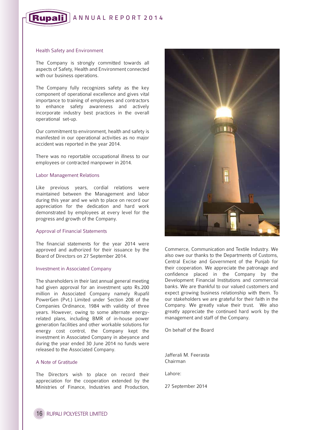#### Health Safety and Environment

The Company is strongly committed towards all aspects of Safety, Health and Environment connected with our business operations.

The Company fully recognizes safety as the key component of operational excellence and gives vital importance to training of employees and contractors to enhance safety awareness and actively incorporate industry best practices in the overall operational set-up.

Our commitment to environment, health and safety is manifested in our operational activities as no major accident was reported in the year 2014.

There was no reportable occupational illness to our employees or contracted manpower in 2014.

#### Labor Management Relations

Like previous years, cordial relations were maintained between the Management and labor during this year and we wish to place on record our appreciation for the dedication and hard work demonstrated by employees at every level for the progress and growth of the Company.

#### Approval of Financial Statements

The financial statements for the year 2014 were approved and authorized for their issuance by the Board of Directors on 27 September 2014.

#### Investment in Associated Company

The shareholders in their last annual general meeting had given approval for an investment upto Rs.200 million in Associated Company namely Rupafil PowerGen (Pvt.) Limited under Section 208 of the Companies Ordinance, 1984 with validity of three years. However, owing to some alternate energyrelated plans, including BMR of in-house power generation facilities and other workable solutions for energy cost control, the Company kept the investment in Associated Company in abeyance and during the year ended 30 June 2014 no funds were released to the Associated Company.

#### A Note of Gratitude

The Directors wish to place on record their appreciation for the cooperation extended by the Ministries of Finance, Industries and Production,



Commerce, Communication and Textile Industry. We also owe our thanks to the Departments of Customs, Central Excise and Government of the Punjab for their cooperation. We appreciate the patronage and confidence placed in the Company by the Development Financial Institutions and commercial banks. We are thankful to our valued customers and expect growing business relationship with them. To our stakeholders we are grateful for their faith in the Company. We greatly value their trust. We also greatly appreciate the continued hard work by the management and staff of the Company.

On behalf of the Board

Jafferali M. Feerasta Chairman

Lahore:

27 September 2014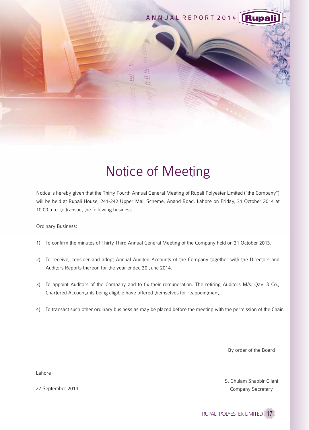

# Notice of Meeting

Notice is hereby given that the Thirty Fourth Annual General Meeting of Rupali Polyester Limited ("the Company") will be held at Rupali House, 241-242 Upper Mall Scheme, Anand Road, Lahore on Friday, 31 October 2014 at 10:00 a.m. to transact the following business:

Ordinary Business:

- 1) To confirm the minutes of Thirty Third Annual General Meeting of the Company held on 31 October 2013.
- 2) To receive, consider and adopt Annual Audited Accounts of the Company together with the Directors and Auditors Reports thereon for the year ended 30 June 2014.
- 3) To appoint Auditors of the Company and to fix their remuneration. The retiring Auditors M/s. Qavi & Co., Chartered Accountants being eligible have offered themselves for reappointment.
- 4) To transact such other ordinary business as may be placed before the meeting with the permission of the Chair.

By order of the Board

S. Ghulam Shabbir Gilani Company Secretary

Lahore

27 September 2014

RUPALI POLYESTER LIMITED (17)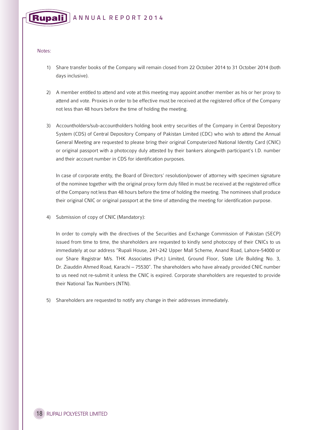Notes:

**Rupali** 

- 1) Share transfer books of the Company will remain closed from 22 October 2014 to 31 October 2014 (both days inclusive).
- 2) A member entitled to attend and vote at this meeting may appoint another member as his or her proxy to attend and vote. Proxies in order to be effective must be received at the registered office of the Company not less than 48 hours before the time of holding the meeting.
- 3) Accountholders/sub-accountholders holding book entry securities of the Company in Central Depository System (CDS) of Central Depository Company of Pakistan Limited (CDC) who wish to attend the Annual General Meeting are requested to please bring their original Computerized National Identity Card (CNIC) or original passport with a photocopy duly attested by their bankers alongwith participant's I.D. number and their account number in CDS for identification purposes.

 In case of corporate entity, the Board of Directors' resolution/power of attorney with specimen signature of the nominee together with the original proxy form duly filled in must be received at the registered office of the Company not less than 48 hours before the time of holding the meeting. The nominees shall produce their original CNIC or original passport at the time of attending the meeting for identification purpose.

4) Submission of copy of CNIC (Mandatory):

 In order to comply with the directives of the Securities and Exchange Commission of Pakistan (SECP) issued from time to time, the shareholders are requested to kindly send photocopy of their CNICs to us immediately at our address "Rupali House, 241-242 Upper Mall Scheme, Anand Road, Lahore-54000 or our Share Registrar M/s. THK Associates (Pvt.) Limited, Ground Floor, State Life Building No. 3, Dr. Ziauddin Ahmed Road, Karachi – 75530". The shareholders who have already provided CNIC number to us need not re-submit it unless the CNIC is expired. Corporate shareholders are requested to provide their National Tax Numbers (NTN).

5) Shareholders are requested to notify any change in their addresses immediately.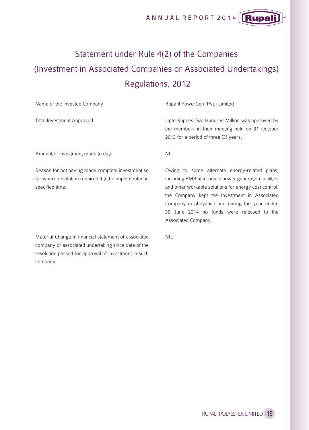ANNUAL REPORT 2014 [Rupal]

## Statement under Rule 4(2) of the Companies (Investment in Associated Companies or Associated Undertakings) Regulations, 2012

Name of the investee Company

Amount of investment made to date

Total Investment Approved

Rupafil PowerGen (Pvt.) Limited

Upto Rupees Two Hundred Million was approved by the members in their meeting held on 31 October 2013 for a period of three (3) years.

NIL

Reason for not having made complete investment so far where resolution required it to be implemented in specified time.

Owing to some alternate energy-related plans, including BMR of in-house power generation facilities and other workable solutions for energy cost control, the Company kept the investment in Associated Company in abeyance and during the year ended 30 June 2014 no funds were released to the Associated Company.

NIL

Material Change in financial statement of associated company or associated undertaking since date of the resolution passed for approval of investment in such company.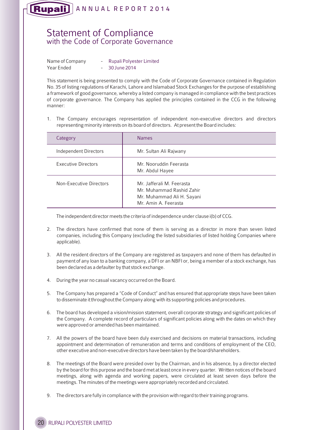Rupali ANNUAL REPORT 2014

### Statement of Compliance with the Code of Corporate Governance

Name of Company - Year Ended Rupali Polyester Limited 30 June 2014

This statement is being presented to comply with the Code of Corporate Governance contained in Regulation No. 35 of listing regulations of Karachi, Lahore and Islamabad Stock Exchanges for the purpose of establishing a framework of good governance, whereby a listed company is managed in compliance with the best practices of corporate governance. The Company has applied the principles contained in the CCG in the following manner:

1. The Company encourages representation of independent non-executive directors and directors representing minority interests on its board of directors. At present the Board includes:

| Category                   | <b>Names</b>                                                                                                 |
|----------------------------|--------------------------------------------------------------------------------------------------------------|
| Independent Directors      | Mr. Sultan Ali Rajwany                                                                                       |
| <b>Executive Directors</b> | Mr. Nooruddin Feerasta<br>Mr. Abdul Hayee                                                                    |
| Non-Executive Directors    | Mr. Jafferali M. Feerasta<br>Mr. Muhammad Rashid Zahir<br>Mr. Muhammad Ali H. Sayani<br>Mr. Amin A. Feerasta |

The independent director meets the criteria of independence under clause i(b) of CCG.

- 2. The directors have confirmed that none of them is serving as a director in more than seven listed companies, including this Company (excluding the listed subsidiaries of listed holding Companies where applicable).
- 3. All the resident directors of the Company are registered as taxpayers and none of them has defaulted in payment of any loan to a banking company, a DFI or an NBFI or, being a member of a stock exchange, has been declared as a defaulter by that stock exchange.
- 4. During the year no casual vacancy occurred on the Board.
- 5. The Company has prepared a "Code of Conduct" and has ensured that appropriate steps have been taken to disseminate it throughout the Company along with its supporting policies and procedures.
- 6. The board has developed a vision/mission statement, overall corporate strategy and significant policies of the Company. A complete record of particulars of significant policies along with the dates on which they were approved or amended has been maintained.
- 7. All the powers of the board have been duly exercised and decisions on material transactions, including appointment and determination of remuneration and terms and conditions of employment of the CEO, other executive and non-executive directors have been taken by the board/shareholders.
- 8. The meetings of the Board were presided over by the Chairman, and in his absence, by a director elected by the board for this purpose and the board met at least once in every quarter. Written notices of the board meetings, along with agenda and working papers, were circulated at least seven days before the meetings. The minutes of the meetings were appropriately recorded and circulated.
- 9. The directors are fully in compliance with the provision with regard to their training programs.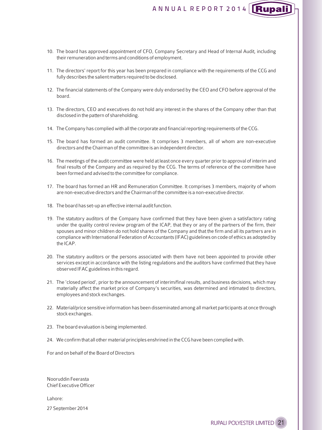ANNUAL REPORT 2014 **Rupa** 

- 10. The board has approved appointment of CFO, Company Secretary and Head of Internal Audit, including their remuneration and terms and conditions of employment.
- 11. The directors' report for this year has been prepared in compliance with the requirements of the CCG and fully describes the salient matters required to be disclosed.
- 12. The financial statements of the Company were duly endorsed by the CEO and CFO before approval of the board.
- 13. The directors, CEO and executives do not hold any interest in the shares of the Company other than that disclosed in the pattern of shareholding.
- 14. The Company has complied with all the corporate and financial reporting requirements of the CCG.
- 15. The board has formed an audit committee. It comprises 3 members, all of whom are non-executive directors and the Chairman of the committee is an independent director.
- 16. The meetings of the audit committee were held at least once every quarter prior to approval of interim and final results of the Company and as required by the CCG. The terms of reference of the committee have been formed and advised to the committee for compliance.
- 17. The board has formed an HR and Remuneration Committee. It comprises 3 members, majority of whom are non-executive directors and the Chairman of the committee is a non-executive director.
- 18. The board has set-up an effective internal audit function.
- 19. The statutory auditors of the Company have confirmed that they have been given a satisfactory rating under the quality control review program of the ICAP, that they or any of the partners of the firm, their spouses and minor children do not hold shares of the Company and that the firm and all its partners are in compliance with International Federation of Accountants (IFAC) guidelines on code of ethics as adopted by the ICAP.
- 20. The statutory auditors or the persons associated with them have not been appointed to provide other services except in accordance with the listing regulations and the auditors have confirmed that they have observed IFAC guidelines in this regard.
- 21. The 'closed period', prior to the announcement of interim/final results, and business decisions, which may materially affect the market price of Company's securities, was determined and intimated to directors, employees and stock exchanges.
- 22. Material/price sensitive information has been disseminated among all market participants at once through stock exchanges.
- 23. The board evaluation is being implemented.
- 24. We confirm that all other material principles enshrined in the CCG have been complied with.

For and on behalf of the Board of Directors

Nooruddin Feerasta Chief Executive Officer

Lahore:

27 September 2014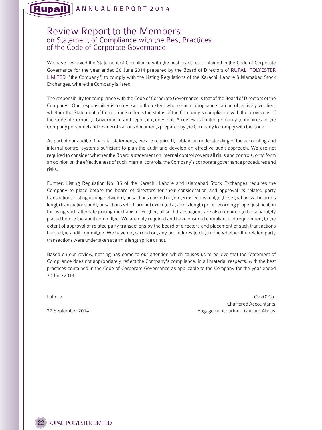**Rupali** ANNUAL REPORT 2014

### Review Report to the Members on Statement of Compliance with the Best Practices of the Code of Corporate Governance

We have reviewed the Statement of Compliance with the best practices contained in the Code of Corporate Governance for the year ended 30 June 2014 prepared by the Board of Directors of RUPALI POLYESTER LIMITED ("the Company") to comply with the Listing Regulations of the Karachi, Lahore & Islamabad Stock Exchanges, where the Company is listed.

The responsibility for compliance with the Code of Corporate Governance is that of the Board of Directors of the Company. Our responsibility is to review, to the extent where such compliance can be objectively verified, whether the Statement of Compliance reflects the status of the Company's compliance with the provisions of the Code of Corporate Governance and report if it does not. A review is limited primarily to inquiries of the Company personnel and review of various documents prepared by the Company to comply with the Code.

As part of our audit of financial statements, we are required to obtain an understanding of the accounting and internal control systems sufficient to plan the audit and develop an effective audit approach. We are not required to consider whether the Board's statement on internal control covers all risks and controls, or to form an opinion on the effectiveness of such internal controls, the Company's corporate governance procedures and risks.

Further, Listing Regulation No. 35 of the Karachi, Lahore and Islamabad Stock Exchanges requires the Company to place before the board of directors for their consideration and approval its related party transactions distinguishing between transactions carried out on terms equivalent to those that prevail in arm's length transactions and transactions which are not executed at arm's length price recording proper justification for using such alternate pricing mechanism. Further, all such transactions are also required to be separately placed before the audit committee. We are only required and have ensured compliance of requirement to the extent of approval of related party transactions by the board of directors and placement of such transactions before the audit committee. We have not carried out any procedures to determine whether the related party transactions were undertaken at arm's length price or not.

Based on our review, nothing has come to our attention which causes us to believe that the Statement of Compliance does not appropriately reflect the Company's compliance, in all material respects, with the best practices contained in the Code of Corporate Governance as applicable to the Company for the year ended 30 June 2014.

Lahore: Qavi & Co. Chartered Accountants 27 September 2014 Engagement partner: Ghulam Abbas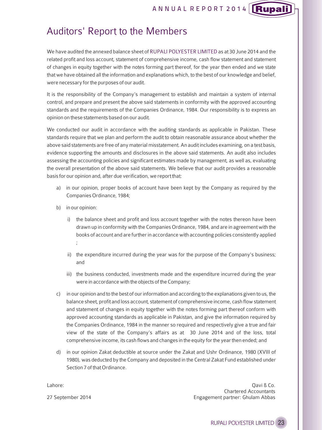

We have audited the annexed balance sheet of RUPALI POLYESTER LIMITED as at 30 June 2014 and the related profit and loss account, statement of comprehensive income, cash flow statement and statement of changes in equity together with the notes forming part thereof, for the year then ended and we state that we have obtained all the information and explanations which, to the best of our knowledge and belief, were necessary for the purposes of our audit.

It is the responsibility of the Company's management to establish and maintain a system of internal control, and prepare and present the above said statements in conformity with the approved accounting standards and the requirements of the Companies Ordinance, 1984. Our responsibility is to express an opinion on these statements based on our audit.

We conducted our audit in accordance with the auditing standards as applicable in Pakistan. These standards require that we plan and perform the audit to obtain reasonable assurance about whether the above said statements are free of any material misstatement. An audit includes examining, on a test basis, evidence supporting the amounts and disclosures in the above said statements. An audit also includes assessing the accounting policies and significant estimates made by management, as well as, evaluating the overall presentation of the above said statements. We believe that our audit provides a reasonable basis for our opinion and, after due verification, we report that:

- a) in our opinion, proper books of account have been kept by the Company as required by the Companies Ordinance, 1984;
- b) in our opinion:
	- i) the balance sheet and profit and loss account together with the notes thereon have been drawn up in conformity with the Companies Ordinance, 1984, and are in agreement with the books of account and are further in accordance with accounting policies consistently applied ;
	- ii) the expenditure incurred during the year was for the purpose of the Company's business; and
	- iii) the business conducted, investments made and the expenditure incurred during the year were in accordance with the objects of the Company;
- c) in our opinion and to the best of our information and according to the explanations given to us, the balance sheet, profit and loss account, statement of comprehensive income, cash flow statement and statement of changes in equity together with the notes forming part thereof conform with approved accounting standards as applicable in Pakistan, and give the information required by the Companies Ordinance, 1984 in the manner so required and respectively give a true and fair view of the state of the Company's affairs as at 30 June 2014 and of the loss, total comprehensive income, its cash flows and changes in the equity for the year then ended; and
- d) in our opinion Zakat deductible at source under the Zakat and Ushr Ordinance, 1980 (XVIII of 1980), was deducted by the Company and deposited in the Central Zakat Fund established under Section 7 of that Ordinance.

Lahore: Qavi & Co. Chartered Accountants 27 September 2014 Engagement partner: Ghulam Abbas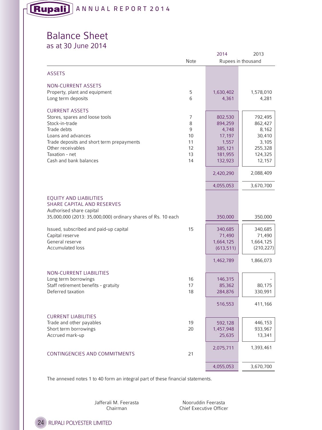Rupali ANNUAL REPORT 2014

## Balance Sheet

as at 30 June 2014

|                                                                                                |             | 2014               | 2013               |
|------------------------------------------------------------------------------------------------|-------------|--------------------|--------------------|
|                                                                                                | <b>Note</b> |                    | Rupees in thousand |
| <b>ASSETS</b>                                                                                  |             |                    |                    |
|                                                                                                |             |                    |                    |
| <b>NON-CURRENT ASSETS</b>                                                                      |             |                    |                    |
| Property, plant and equipment<br>Long term deposits                                            | 5<br>6      | 1,630,402<br>4,361 | 1,578,010<br>4,281 |
|                                                                                                |             |                    |                    |
| <b>CURRENT ASSETS</b>                                                                          |             |                    |                    |
| Stores, spares and loose tools                                                                 | 7           | 802,530            | 792,495            |
| Stock-in-trade                                                                                 | 8           | 894,259            | 862,427            |
| Trade debts<br>Loans and advances                                                              | 9<br>10     | 4,748<br>17,197    | 8,162<br>30,410    |
| Trade deposits and short term prepayments                                                      | 11          | 1,557              | 3,105              |
| Other receivables                                                                              | 12          | 385,121            | 255,328            |
| Taxation - net                                                                                 | 13          | 181,955            | 124,325            |
| Cash and bank balances                                                                         | 14          | 132,923            | 12,157             |
|                                                                                                |             | 2,420,290          | 2,088,409          |
|                                                                                                |             | 4,055,053          | 3,670,700          |
| <b>EOUITY AND LIABILITIES</b><br><b>SHARE CAPITAL AND RESERVES</b><br>Authorised share capital |             |                    |                    |
| 35,000,000 (2013: 35,000,000) ordinary shares of Rs. 10 each                                   |             | 350,000            | 350,000            |
| Issued, subscribed and paid-up capital                                                         | 15          | 340,685            | 340,685            |
| Capital reserve                                                                                |             | 71,490             | 71,490             |
| General reserve                                                                                |             | 1,664,125          | 1,664,125          |
| <b>Accumulated loss</b>                                                                        |             | (613, 511)         | (210, 227)         |
|                                                                                                |             | 1,462,789          | 1,866,073          |
| <b>NON-CURRENT LIABILITIES</b>                                                                 |             |                    |                    |
| Long term borrowings                                                                           | 16          | 146,315            |                    |
| Staff retirement benefits - gratuity                                                           | 17          | 85,362             | 80,175             |
| Deferred taxation                                                                              | 18          | 284,876            | 330,991            |
|                                                                                                |             | 516,553            | 411,166            |
| <b>CURRENT LIABILITIES</b>                                                                     |             |                    |                    |
| Trade and other payables                                                                       | 19          | 592,128            | 446,153            |
| Short term borrowings                                                                          | 20          | 1,457,948          | 933,967            |
| Accrued mark-up                                                                                |             | 25,635             | 13,341             |
|                                                                                                |             | 2,075,711          | 1,393,461          |
| CONTINGENCIES AND COMMITMENTS                                                                  | 21          |                    |                    |
|                                                                                                |             | 4,055,053          | 3,670,700          |

The annexed notes 1 to 40 form an integral part of these financial statements.

Jafferali M. Feerasta Chairman

Nooruddin Feerasta Chief Executive Officer

24 RUPALI POLYESTER LIMITED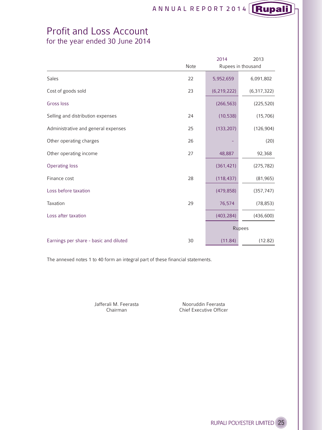

### Profit and Loss Account for the year ended 30 June 2014

|                                        |      | 2014          | 2013               |
|----------------------------------------|------|---------------|--------------------|
|                                        | Note |               | Rupees in thousand |
| Sales                                  | 22   | 5,952,659     | 6,091,802          |
| Cost of goods sold                     | 23   | (6, 219, 222) | (6, 317, 322)      |
| Gross loss                             |      | (266, 563)    | (225, 520)         |
| Selling and distribution expenses      | 24   | (10, 538)     | (15, 706)          |
| Administrative and general expenses    | 25   | (133, 207)    | (126, 904)         |
| Other operating charges                | 26   |               | (20)               |
| Other operating income                 | 27   | 48,887        | 92,368             |
| <b>Operating loss</b>                  |      | (361, 421)    | (275, 782)         |
| Finance cost                           | 28   | (118, 437)    | (81, 965)          |
| Loss before taxation                   |      | (479, 858)    | (357, 747)         |
| Taxation                               | 29   | 76,574        | (78, 853)          |
| Loss after taxation                    |      | (403, 284)    | (436, 600)         |
|                                        |      | Rupees        |                    |
| Earnings per share - basic and diluted | 30   | (11.84)       | (12.82)            |

The annexed notes 1 to 40 form an integral part of these financial statements.

Jafferali M. Feerasta Chairman

Nooruddin Feerasta Chief Executive Officer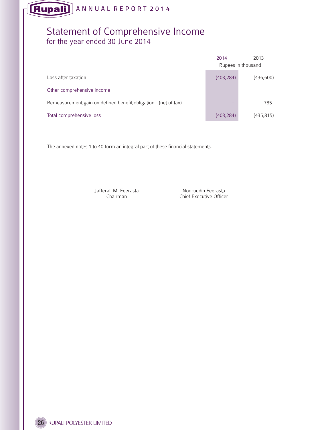### Statement of Comprehensive Income for the year ended 30 June 2014

|                                                                 | 2014       | 2013               |
|-----------------------------------------------------------------|------------|--------------------|
|                                                                 |            | Rupees in thousand |
| Loss after taxation                                             | (403, 284) | (436,600)          |
| Other comprehensive income                                      |            |                    |
| Remeasurement gain on defined benefit obligation - (net of tax) |            | 785                |
| Total comprehensive loss                                        | (403, 284) | (435, 815)         |

The annexed notes 1 to 40 form an integral part of these financial statements.

Jafferali M. Feerasta Chairman

Nooruddin Feerasta Chief Executive Officer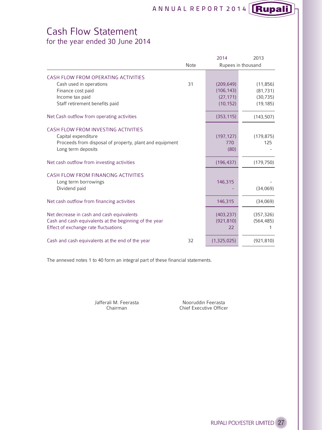ANNUAL REPORT 2014 Rupali

### Cash Flow Statement for the year ended 30 June 2014

|                                                         |             | 2014        | 2013               |
|---------------------------------------------------------|-------------|-------------|--------------------|
|                                                         | <b>Note</b> |             | Rupees in thousand |
| CASH FLOW FROM OPERATING ACTIVITIES                     |             |             |                    |
| Cash used in operations                                 | 31          | (209, 649)  | (11, 856)          |
| Finance cost paid                                       |             | (106, 143)  | (81, 731)          |
| Income tax paid                                         |             | (27, 171)   | (30, 735)          |
| Staff retirement benefits paid                          |             | (10, 152)   | (19, 185)          |
| Net Cash outflow from operating activities              |             | (353, 115)  | (143, 507)         |
| CASH FLOW FROM INVESTING ACTIVITIES                     |             |             |                    |
| Capital expenditure                                     |             | (197, 127)  | (179, 875)         |
| Proceeds from disposal of property, plant and equipment |             | 770         | 125                |
| Long term deposits                                      |             | (80)        |                    |
| Net cash outflow from investing activities              |             | (196, 437)  | (179, 750)         |
| CASH FLOW FROM FINANCING ACTIVITIES                     |             |             |                    |
| Long term borrowings                                    |             | 146,315     |                    |
| Dividend paid                                           |             |             | (34,069)           |
| Net cash outflow from financing activities              |             | 146,315     | (34,069)           |
| Net decrease in cash and cash equivalents               |             | (403, 237)  | (357, 326)         |
| Cash and cash equivalents at the beginning of the year  |             | (921, 810)  | (564, 485)         |
| Effect of exchange rate fluctuations                    |             | 22          |                    |
| Cash and cash equivalents at the end of the year        | 32          | (1,325,025) | (921, 810)         |
|                                                         |             |             |                    |

The annexed notes 1 to 40 form an integral part of these financial statements.

Jafferali M. Feerasta Chairman

Nooruddin Feerasta Chief Executive Officer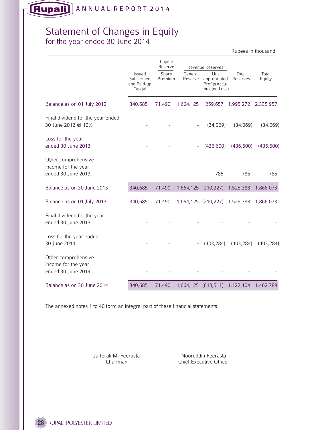Rupali ANNUAL REPORT 2014

### Statement of Changes in Equity for the year ended 30 June 2014

Rupees in thousand

|                                                                  | Issued<br>Subscribed<br>and Paid-up<br>Capital | Capital<br>Reserve<br>Share<br>Premium | General<br>Reserve  | Revenue Reserves<br>Un-<br>appropriated<br>Profit/(Accu-<br>mulated Loss) | Total<br>Reserves | Total<br>Equity |
|------------------------------------------------------------------|------------------------------------------------|----------------------------------------|---------------------|---------------------------------------------------------------------------|-------------------|-----------------|
| Balance as on 01 July 2012                                       | 340,685                                        | 71,490                                 | 1,664,125           | 259,657                                                                   | 1,995,272         | 2,335,957       |
| Final dividend for the year ended<br>30 June 2012 @ 10%          |                                                |                                        |                     | (34,069)                                                                  | (34,069)          | (34,069)        |
| Loss for the year<br>ended 30 June 2013                          |                                                |                                        |                     | (436,600)                                                                 | (436,600)         | (436,600)       |
| Other comprehensive<br>income for the year<br>ended 30 June 2013 |                                                |                                        |                     | 785                                                                       | 785               | 785             |
| Balance as on 30 June 2013                                       | 340,685                                        | 71,490                                 | 1,664,125           | (210, 227)                                                                | 1,525,388         | 1,866,073       |
| Balance as on 01 July 2013                                       | 340,685                                        | 71,490                                 | 1,664,125 (210,227) |                                                                           | 1,525,388         | 1,866,073       |
| Final dividend for the year<br>ended 30 June 2013                |                                                |                                        |                     |                                                                           |                   |                 |
| Loss for the year ended<br>30 June 2014                          |                                                |                                        |                     | (403, 284)                                                                | (403, 284)        | (403, 284)      |
| Other comprehensive<br>income for the year<br>ended 30 June 2014 |                                                |                                        |                     |                                                                           |                   |                 |
| Balance as on 30 June 2014                                       | 340,685                                        | 71,490                                 |                     | 1,664,125 (613,511) 1,122,104                                             |                   | 1,462,789       |

The annexed notes 1 to 40 form an integral part of these financial statements.

Jafferali M. Feerasta Chairman

Nooruddin Feerasta Chief Executive Officer

28 RUPALI POLYESTER LIMITED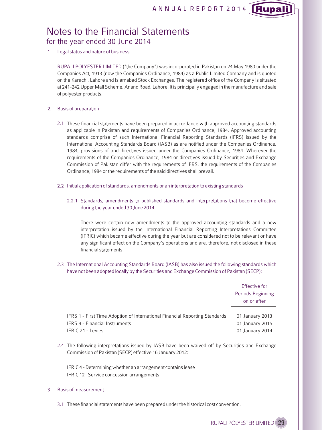

### Notes to the Financial Statements for the year ended 30 June 2014

1. Legal status and nature of business

RUPALI POLYESTER LIMITED ("the Company") was incorporated in Pakistan on 24 May 1980 under the Companies Act, 1913 (now the Companies Ordinance, 1984) as a Public Limited Company and is quoted on the Karachi, Lahore and Islamabad Stock Exchanges. The registered office of the Company is situated at 241-242 Upper Mall Scheme, Anand Road, Lahore. It is principally engaged in the manufacture and sale of polyester products.

#### 2. Basis of preparation

- 2.1 These financial statements have been prepared in accordance with approved accounting standards as applicable in Pakistan and requirements of Companies Ordinance, 1984. Approved accounting standards comprise of such International Financial Reporting Standards (IFRS) issued by the International Accounting Standards Board (IASB) as are notified under the Companies Ordinance, 1984, provisions of and directives issued under the Companies Ordinance, 1984. Wherever the requirements of the Companies Ordinance, 1984 or directives issued by Securities and Exchange Commission of Pakistan differ with the requirements of IFRS, the requirements of the Companies Ordinance, 1984 or the requirements of the said directives shall prevail.
- 2.2 Initial application of standards, amendments or an interpretation to existing standards

#### 2.2.1 Standards, amendments to published standards and interpretations that become effective during the year ended 30 June 2014

There were certain new amendments to the approved accounting standards and a new interpretation issued by the International Financial Reporting Interpretations Committee (IFRIC) which became effective during the year but are considered not to be relevant or have any significant effect on the Company's operations and are, therefore, not disclosed in these financial statements.

#### 2.3 The International Accounting Standards Board (IASB) has also issued the following standards which have not been adopted locally by the Securities and Exchange Commission of Pakistan (SECP):

|                                                                             | <b>Effective for</b>             |
|-----------------------------------------------------------------------------|----------------------------------|
|                                                                             | Periods Beginning<br>on or after |
|                                                                             |                                  |
| IFRS 1 - First Time Adoption of International Financial Reporting Standards | 01 January 2013                  |
| <b>IFRS 9 - Financial Instruments</b>                                       | 01 January 2015                  |
| <b>IFRIC 21 - Levies</b>                                                    | 01 January 2014                  |

2.4 The following interpretations issued by IASB have been waived off by Securities and Exchange Commission of Pakistan (SECP) effective 16 January 2012:

IFRIC 4 - Determining whether an arrangement contains lease IFRIC 12 - Service concession arrangements

#### 3. Basis of measurement

3.1 These financial statements have been prepared under the historical cost convention.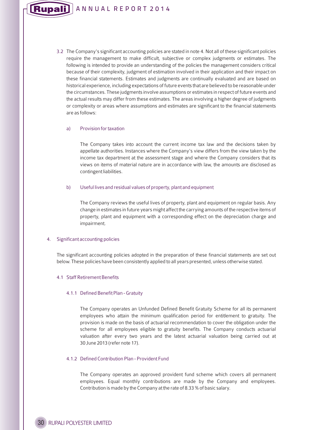ANNUAL REPORT 2014

The Company's significant accounting policies are stated in note 4. Not all of these significant policies 3.2 require the management to make difficult, subjective or complex judgments or estimates. The following is intended to provide an understanding of the policies the management considers critical because of their complexity, judgment of estimation involved in their application and their impact on these financial statements. Estimates and judgments are continually evaluated and are based on historical experience, including expectations of future events that are believed to be reasonable under the circumstances. These judgments involve assumptions or estimates in respect of future events and the actual results may differ from these estimates. The areas involving a higher degree of judgments or complexity or areas where assumptions and estimates are significant to the financial statements are as follows:

#### a) Provision for taxation

**Rupali** 

The Company takes into account the current income tax law and the decisions taken by appellate authorities. Instances where the Company's view differs from the view taken by the income tax department at the assessment stage and where the Company considers that its views on items of material nature are in accordance with law, the amounts are disclosed as contingent liabilities.

#### b) Useful lives and residual values of property, plant and equipment

The Company reviews the useful lives of property, plant and equipment on regular basis. Any change in estimates in future years might affect the carrying amounts of the respective items of property, plant and equipment with a corresponding effect on the depreciation charge and impairment.

#### 4. Significant accounting policies

The significant accounting policies adopted in the preparation of these financial statements are set out below. These policies have been consistently applied to all years presented, unless otherwise stated.

#### 4.1 Staff Retirement Benefits

#### 4.1.1 Defined Benefit Plan - Gratuity

The Company operates an Unfunded Defined Benefit Gratuity Scheme for all its permanent employees who attain the minimum qualification period for entitlement to gratuity. The provision is made on the basis of actuarial recommendation to cover the obligation under the scheme for all employees eligible to gratuity benefits. The Company conducts actuarial valuation after every two years and the latest actuarial valuation being carried out at 30 June 2013 (refer note 17).

#### 4.1.2 Defined Contribution Plan - Provident Fund

The Company operates an approved provident fund scheme which covers all permanent employees. Equal monthly contributions are made by the Company and employees. Contribution is made by the Company at the rate of 8.33 % of basic salary.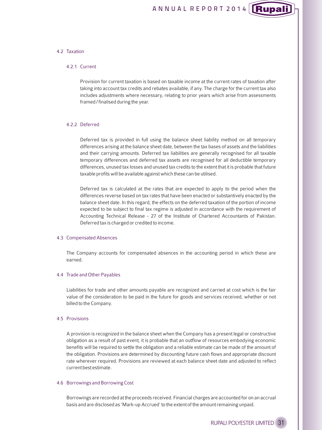#### ANNUAL REPORT 2014 **Rupal**



#### 4.2 Taxation

#### 4.2.1 Current

Provision for current taxation is based on taxable income at the current rates of taxation after taking into account tax credits and rebates available, if any. The charge for the current tax also includes adjustments where necessary, relating to prior years which arise from assessments framed / finalised during the year.

#### 4.2.2 Deferred

Deferred tax is provided in full using the balance sheet liability method on all temporary differences arising at the balance sheet date, between the tax bases of assets and the liabilities and their carrying amounts. Deferred tax liabilities are generally recognised for all taxable temporary differences and deferred tax assets are recognised for all deductible temporary differences, unused tax losses and unused tax credits to the extent that it is probable that future taxable profits will be available against which these can be utilised.

Deferred tax is calculated at the rates that are expected to apply to the period when the differences reverse based on tax rates that have been enacted or substantively enacted by the balance sheet date. In this regard, the effects on the deferred taxation of the portion of income expected to be subject to final tax regime is adjusted in accordance with the requirement of Accounting Technical Release - 27 of the Institute of Chartered Accountants of Pakistan. Deferred tax is charged or credited to income.

#### 4.3 Compensated Absences

The Company accounts for compensated absences in the accounting period in which these are earned.

#### 4.4 Trade and Other Payables

Liabilities for trade and other amounts payable are recognized and carried at cost which is the fair value of the consideration to be paid in the future for goods and services received, whether or not billed to the Company.

#### 4.5 Provisions

A provision is recognized in the balance sheet when the Company has a present legal or constructive obligation as a result of past event, it is probable that an outflow of resources embodying economic benefits will be required to settle the obligation and a reliable estimate can be made of the amount of the obligation. Provisions are determined by discounting future cash flows and appropriate discount rate wherever required. Provisions are reviewed at each balance sheet date and adjusted to reflect current best estimate.

#### 4.6 Borrowings and Borrowing Cost

Borrowings are recorded at the proceeds received. Financial charges are accounted for on an accrual basis and are disclosed as 'Mark-up Accrued' to the extent of the amount remaining unpaid.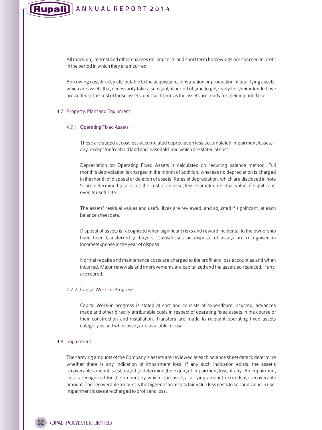

All mark-up, interest and other charges on long term and short term borrowings are charged to profit in the period in which they are incurred.

Borrowing cost directly attributable to the acquisition, construction or production of qualifying assets, which are assets that necessarily take a substantial period of time to get ready for their intended use are added to the cost of those assets, until such time as the assets are ready for their intended use.

#### 4.7 Property, Plant and Equipment

#### 4.7.1 Operating Fixed Assets

These are stated at cost less accumulated depreciation less accumulated impairment losses, if any, except for freehold land and leasehold land which are stated at cost.

Depreciation on Operating Fixed Assets is calculated on reducing balance method. Full month's depreciation is charged in the month of addition, whereas no depreciation is charged in the month of disposal or deletion of assets. Rates of depreciation, which are disclosed in note 5, are determined to allocate the cost of an asset less estimated residual value, if significant, over its useful life.

The assets' residual values and useful lives are reviewed, and adjusted if significant, at each balance sheet date.

Disposal of assets is recognised when significant risks and reward incidental to the ownership have been transferred to buyers. Gains/losses on disposal of assets are recognised in income/expense in the year of disposal.

Normal repairs and maintenance costs are charged to the profit and loss account as and when incurred. Major renewals and improvements are capitalized and the assets so replaced, if any, are retired.

#### 4.7.2 Capital Work-in-Progress

Capital Work-in-progress is stated at cost and consists of expenditure incurred, advances made and other directly attributable costs in respect of operating fixed assets in the course of their construction and installation. Transfers are made to relevant operating fixed assets category as and when assets are available for use.

#### 4.8 Impairment

The carrying amounts of the Company's assets are reviewed at each balance sheet date to determine whether there is any indication of impairment loss. If any such indication exists, the asset's recoverable amount is estimated to determine the extent of impairment loss, if any. An impairment loss is recognized for the amount by which the assets carrying amount exceeds its recoverable amount. The recoverable amount is the higher of an assets fair value less costs to sell and value in use. Impairment losses are charged to profit and loss.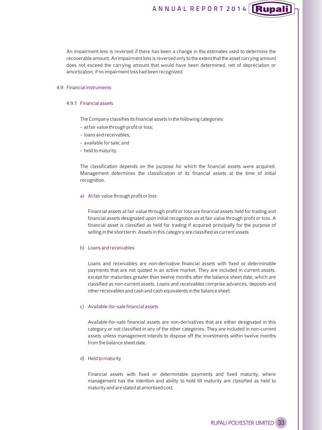ANNUAL REPORT 2014 **Rupal** 

An impairment loss is reversed if there has been a change in the estimates used to determine the recoverable amount. An impairment loss is reversed only to the extent that the asset carrying amount does not exceed the carrying amount that would have been determined, net of depreciation or amortization, if no impairment loss had been recognized.

#### 4.9 Financial instruments

#### 4.9.1 Financial assets

The Company classifies its financial assets in the following categories:

- at fair value through profit or loss;
- loans and receivables;
- available for sale; and
- held to maturity.

The classification depends on the purpose for which the financial assets were acquired. Management determines the classification of its financial assets at the time of initial recognition.

#### a) At fair value through profit or loss

Financial assets at fair value through profit or loss are financial assets held for trading and financial assets designated upon initial recognition as at fair value through profit or loss. A financial asset is classified as held for trading if acquired principally for the purpose of selling in the short term. Assets in this category are classified as current assets.

#### b) Loans and receivables

Loans and receivables are non-derivative financial assets with fixed or determinable payments that are not quoted in an active market. They are included in current assets, except for maturities greater than twelve months after the balance sheet date, which are classified as non-current assets. Loans and receivables comprise advances, deposits and other receivables and cash and cash equivalents in the balance sheet.

#### c) Available-for-sale financial assets

Available-for-sale financial assets are non-derivatives that are either designated in this category or not classified in any of the other categories. They are included in non-current assets unless management intends to dispose off the investments within twelve months from the balance sheet date.

#### d) Held to maturity

Financial assets with fixed or determinable payments and fixed maturity, where management has the intention and ability to hold till maturity are classified as held to maturity and are stated at amortised cost.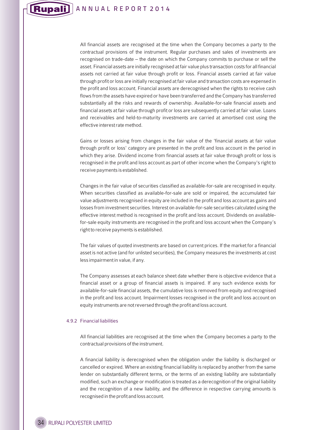

All financial assets are recognised at the time when the Company becomes a party to the contractual provisions of the instrument. Regular purchases and sales of investments are recognised on trade-date – the date on which the Company commits to purchase or sell the asset. Financial assets are initially recognised at fair value plus transaction costs for all financial assets not carried at fair value through profit or loss. Financial assets carried at fair value through profit or loss are initially recognised at fair value and transaction costs are expensed in the profit and loss account. Financial assets are derecognised when the rights to receive cash flows from the assets have expired or have been transferred and the Company has transferred substantially all the risks and rewards of ownership. Available-for-sale financial assets and financial assets at fair value through profit or loss are subsequently carried at fair value. Loans and receivables and held-to-maturity investments are carried at amortised cost using the effective interest rate method.

Gains or losses arising from changes in the fair value of the 'financial assets at fair value through profit or loss' category are presented in the profit and loss account in the period in which they arise. Dividend income from financial assets at fair value through profit or loss is recognised in the profit and loss account as part of other income when the Company's right to receive payments is established.

Changes in the fair value of securities classified as available-for-sale are recognised in equity. When securities classified as available-for-sale are sold or impaired, the accumulated fair value adjustments recognised in equity are included in the profit and loss account as gains and losses from investment securities. Interest on available-for-sale securities calculated using the effective interest method is recognised in the profit and loss account. Dividends on availablefor-sale equity instruments are recognised in the profit and loss account when the Company's right to receive payments is established.

The fair values of quoted investments are based on current prices. If the market for a financial asset is not active (and for unlisted securities), the Company measures the investments at cost less impairment in value, if any.

The Company assesses at each balance sheet date whether there is objective evidence that a financial asset or a group of financial assets is impaired. If any such evidence exists for available-for-sale financial assets, the cumulative loss is removed from equity and recognised in the profit and loss account. Impairment losses recognised in the profit and loss account on equity instruments are not reversed through the profit and loss account.

#### 4.9.2 Financial liabilities

All financial liabilities are recognised at the time when the Company becomes a party to the contractual provisions of the instrument.

A financial liability is derecognised when the obligation under the liability is discharged or cancelled or expired. Where an existing financial liability is replaced by another from the same lender on substantially different terms, or the terms of an existing liability are substantially modified, such an exchange or modification is treated as a derecognition of the original liability and the recognition of a new liability, and the difference in respective carrying amounts is recognised in the profit and loss account.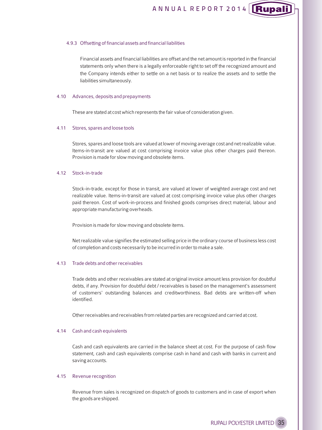

#### 4.9.3 Offsetting of financial assets and financial liabilities

Financial assets and financial liabilities are offset and the net amount is reported in the financial statements only when there is a legally enforceable right to set off the recognized amount and the Company intends either to settle on a net basis or to realize the assets and to settle the liabilities simultaneously.

#### 4.10 Advances, deposits and prepayments

These are stated at cost which represents the fair value of consideration given.

#### 4.11 Stores, spares and loose tools

Stores, spares and loose tools are valued at lower of moving average cost and net realizable value. Items-in-transit are valued at cost comprising invoice value plus other charges paid thereon. Provision is made for slow moving and obsolete items.

#### 4.12 Stock-in-trade

Stock-in-trade, except for those in transit, are valued at lower of weighted average cost and net realizable value. Items-in-transit are valued at cost comprising invoice value plus other charges paid thereon. Cost of work-in-process and finished goods comprises direct material, labour and appropriate manufacturing overheads.

Provision is made for slow moving and obsolete items.

Net realizable value signifies the estimated selling price in the ordinary course of business less cost of completion and costs necessarily to be incurred in order to make a sale.

#### 4.13 Trade debts and other receivables

Trade debts and other receivables are stated at original invoice amount less provision for doubtful debts, if any. Provision for doubtful debt / receivables is based on the management's assessment of customers' outstanding balances and creditworthiness. Bad debts are written-off when identified.

Other receivables and receivables from related parties are recognized and carried at cost.

#### 4.14 Cash and cash equivalents

Cash and cash equivalents are carried in the balance sheet at cost. For the purpose of cash flow statement, cash and cash equivalents comprise cash in hand and cash with banks in current and saving accounts.

#### 4.15 Revenue recognition

Revenue from sales is recognized on dispatch of goods to customers and in case of export when the goods are shipped.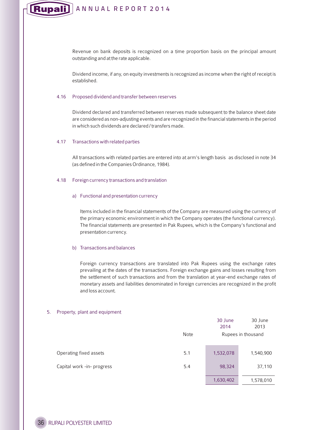

ANNUAL REPORT 2014

Revenue on bank deposits is recognized on a time proportion basis on the principal amount outstanding and at the rate applicable.

Dividend income, if any, on equity investments is recognized as income when the right of receipt is established.

#### 4.16 Proposed dividend and transfer between reserves

Dividend declared and transferred between reserves made subsequent to the balance sheet date are considered as non-adjusting events and are recognized in the financial statements in the period in which such dividends are declared / transfers made.

#### 4.17 Transactions with related parties

All transactions with related parties are entered into at arm's length basis as disclosed in note 34 (as defined in the Companies Ordinance, 1984).

#### 4.18 Foreign currency transactions and translation

#### a) Functional and presentation currency

Items included in the financial statements of the Company are measured using the currency of the primary economic environment in which the Company operates (the functional currency). The financial statements are presented in Pak Rupees, which is the Company's functional and presentation currency.

#### b) Transactions and balances

Foreign currency transactions are translated into Pak Rupees using the exchange rates prevailing at the dates of the transactions. Foreign exchange gains and losses resulting from the settlement of such transactions and from the translation at year-end exchange rates of monetary assets and liabilities denominated in foreign currencies are recognized in the profit and loss account.

|                            |             | 30 June<br>2014 | 30 June<br>2013    |
|----------------------------|-------------|-----------------|--------------------|
|                            | <b>Note</b> |                 | Rupees in thousand |
| Operating fixed assets     | 5.1         | 1,532,078       | 1,540,900          |
| Capital work -in- progress | 5.4         | 98,324          | 37,110             |
|                            |             | 1,630,402       | 1,578,010          |

#### 5. Property, plant and equipment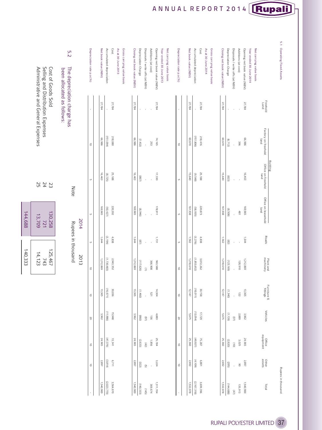|         |                                                         | 5.2                                                       |      |                           |                      |                          | Cost      |                                                  |                              |                     |                                 |                     |                              |           |                                                     |                           |                      |                          | Cost      |                    |                            |                              |                     |                                 |                     |                              |                                                     |                             |          |                            |
|---------|---------------------------------------------------------|-----------------------------------------------------------|------|---------------------------|----------------------|--------------------------|-----------|--------------------------------------------------|------------------------------|---------------------|---------------------------------|---------------------|------------------------------|-----------|-----------------------------------------------------|---------------------------|----------------------|--------------------------|-----------|--------------------|----------------------------|------------------------------|---------------------|---------------------------------|---------------------|------------------------------|-----------------------------------------------------|-----------------------------|----------|----------------------------|
|         | Selling and Distribution Expenses<br>Cost of Goods Sold | The depreciation charge has<br>been allocated as follows: |      | Depreciation rate p.a (%) | Net book value (NBV) | Accumulated depreciation |           | Gross carrying value basis<br>As at 30 June 2013 | Closing net book value (NBV) | Depreciation Charge | Disposals / write offs (at NBV) | Additions (at cost) | Opening net book value (NBV) |           | Year ended 30 June 2013<br>Net carrying value basis | Depreciation rate p.a (%) | Net book value (NBV) | Accumulated depreciation |           | As at 30 June 2014 | Gross carrying value basis | Closing net book value (NBV) | Depreciation Charge | Disposals / write offs (at NBV) | Additions (at cost) | Opening net book value (NBV) | Year ended 30 June 2014<br>Net carrying value basis |                             |          | 5.1 Operating Fixed Assets |
|         |                                                         |                                                           |      |                           | 27,784               |                          | 27,784    |                                                  | 27,784                       |                     |                                 |                     |                              | 27,784    |                                                     |                           | 27,784               |                          | 27,784    |                    |                            | 27,784                       |                     |                                 |                     | 27,784                       |                                                     | Freehold<br>Land            |          |                            |
|         | Administrative and General Expenses                     |                                                           |      | $\vec{o}$                 | 66,986               | (151,094)                | 218,080   |                                                  | 66,986                       | (7,432)             |                                 | 253                 |                              | 74,165    |                                                     | $\vec{o}$                 | 60,670               | (157,806)                | 218,476   |                    |                            | 029'09                       | (6,712)             |                                 | 396                 | 66,986                       |                                                     | Factory on freehold<br>land |          |                            |
|         | 25<br>23                                                | Note                                                      |      | G                         | 16,463               | (8,725)                  | 25,188    |                                                  | 16,463                       | (267)               |                                 |                     |                              | 17,330    |                                                     | U1                        | 15,640               | (9,548)                  | 25,188    |                    |                            | 15,640                       | (823)               | $\bar{1}$                       | $\bar{1}$           | 16,463                       |                                                     | Office on freehold<br>land  | Building |                            |
| 144,688 | 130,258<br>13,709<br>721                                |                                                           | 2014 | U1                        | 169,965              | (50.427)                 | 220,392   |                                                  | 169,965                      | (8,946)             |                                 |                     |                              | 178,911   |                                                     | G                         | 161,938              | (58,935)                 | 220,873   |                    |                            | 161,938                      | (8.508)             |                                 | $481$               | 169,965                      |                                                     | Office on leasehold<br>land |          |                            |
|         |                                                         | Rupees in thousand                                        |      | UΠ                        | 1,644                | (3, 194)                 | 4,838     |                                                  | 1,644                        | $(28)$              |                                 | i,                  |                              | 1,731     |                                                     | $\cup$                    | 1,562                | (3.276)                  | 4,838     |                    |                            | 1,562                        | (82)                | $\bar{1}$                       | $\bar{1}$           | 1,644                        |                                                     | Roads                       |          |                            |
| 140,333 | 125,467<br>14, 123<br>743                               |                                                           | 2013 | $\vec{o}$                 | 1,212,869            | (1,730,483)              | 2,943,352 |                                                  | 1,212,869                    | (117,626)           | $\widehat{z}$                   | 366,908             |                              | 963,588   |                                                     | $\vec{o}$                 | 1,218,610            | (1, 853, 652)            | 3,072,262 |                    |                            | 1,218,610                    | (123, 169)          |                                 | 128,910             | 1,212,869                    |                                                     | Plant and<br>machinery      |          |                            |
|         |                                                         |                                                           |      | $\vec{o}$                 | 13,365               | (16, 671)                | 30,036    |                                                  | <b>13,365</b>                | (1,460)             |                                 | 125                 |                              | 14,304    |                                                     | $\vec{\circ}$             | $12,147$             | (18,011)                 | 30,158    |                    |                            | $12,147$                     | (1,340)             | Î,                              | 122                 | 13,365                       |                                                     | Furniture 8<br>fittings     |          |                            |
|         |                                                         |                                                           |      | $\approx$                 | 3,962                | (986'11)                 | 15,948    |                                                  | 3,962                        | (096)               | (26)                            | 136                 |                              | 4,883     |                                                     | <b>DC</b>                 | 5,675                | (12,054)                 | 17,729    |                    |                            | 5,675                        | (1,139)             | (37)                            | $2{,}889$           | 3,962                        |                                                     | Vehicles                    |          |                            |
|         |                                                         |                                                           |      | $\vec{o}$                 | 24,965               | (47, 376)                | 72,341    |                                                  | 24,965                       | (2, 633)            | $(42)$                          | 1,856               |                              | 25,784    |                                                     | $\vec{o}$                 | 25,360               | (49, 927)                | 75,287    |                    |                            | 25,360                       | (2,620)             | $\frac{1}{2}$                   | 3,025               | 24,965                       |                                                     | Office<br>equipment         |          |                            |
|         |                                                         |                                                           |      | $\vec{o}$                 | 2,897                | (3, 814)                 | 6,711     |                                                  | 2,897                        | (322)               | $\widehat{\Xi}$                 | l,                  |                              | 3,224     |                                                     | $\vec{o}$                 | 2,692                | (4, 109)                 | 6,801     |                    |                            | 2,692                        | (562)               | $\bar{1}$                       | $\frac{6}{2}$       | 2,897                        |                                                     | Other<br>assets             |          |                            |
|         |                                                         |                                                           |      |                           | 1,540,900            | (2, 023, 770)            | 3,564,670 |                                                  | 1,540,900                    | (140, 333)          | (5 <sup>45</sup> )              | 369,674             |                              | 1,311,704 |                                                     |                           | 1,532,078            | (2, 167, 318)            | 3,699,396 |                    |                            | 1,532,078                    | (144, 688)          | (47)                            | 135,913             | 1,540,900                    |                                                     | Total                       |          | Rupees in thousand         |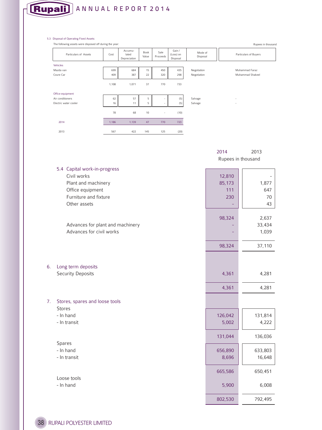

#### 5.3 Disposal of Operating Fixed Assets:

| The following assets were disposed off during the year: | Rupees in thousand |                                  |               |                          |                                 |                     |                       |
|---------------------------------------------------------|--------------------|----------------------------------|---------------|--------------------------|---------------------------------|---------------------|-----------------------|
| Particulars of Assets                                   | Cost               | Accumu-<br>lated<br>Depreciation | Book<br>Value | Sale<br>Proceeds         | Gain /<br>(Loss) on<br>Disposal | Mode of<br>Disposal | Particulars of Buyers |
| Vehicles                                                |                    |                                  |               |                          |                                 |                     |                       |
| Mazda van                                               | 699                | 684                              | 15            | 450                      | 435                             | Negotiation         | Muhammad Faraz        |
| Coure Car                                               | 409                | 387                              | 22            | 320                      | 298                             | Negotiation         | Muhammad Shakeel      |
|                                                         | 1,108              | 1,071                            | 37            | 770                      | 733                             |                     |                       |
| Office equipment                                        |                    |                                  |               |                          |                                 |                     |                       |
| Air conditioners                                        | 62                 | 57                               | 5             | ٠                        | (5)                             | Salvage             |                       |
| Electric water cooler                                   | 16                 | 11                               | 5             | $\overline{\phantom{a}}$ | (5)                             | Salvage             | ۰                     |
|                                                         | 78                 | 68                               | 10            | $\overline{\phantom{m}}$ | (10)                            |                     |                       |
| 2014                                                    | 1,186              | 1,139                            | 47            | 770                      | 723                             |                     |                       |
| 2013                                                    | 567                | 422                              | 145           | 125                      | (20)                            |                     |                       |

| 2014               | 2013 |
|--------------------|------|
| Rupees in thousand |      |
|                    |      |

|    | 5.4 Capital work-in-progress                                 |         |         |
|----|--------------------------------------------------------------|---------|---------|
|    | Civil works                                                  |         |         |
|    |                                                              | 12,810  |         |
|    | Plant and machinery                                          | 85,173  | 1,877   |
|    | Office equipment                                             | 111     | 647     |
|    | Furniture and fixture                                        | 230     | $70\,$  |
|    | Other assets                                                 |         | 43      |
|    |                                                              | 98,324  | 2,637   |
|    |                                                              |         |         |
|    | Advances for plant and machinery<br>Advances for civil works |         | 33,434  |
|    |                                                              |         | 1,039   |
|    |                                                              | 98,324  | 37,110  |
|    |                                                              |         |         |
| 6. | Long term deposits                                           |         |         |
|    | <b>Security Deposits</b>                                     | 4,361   | 4,281   |
|    |                                                              |         |         |
|    |                                                              | 4,361   | 4,281   |
| 7. | Stores, spares and loose tools                               |         |         |
|    | <b>Stores</b>                                                |         |         |
|    | - In hand                                                    | 126,042 | 131,814 |
|    | - In transit                                                 | 5,002   | 4,222   |
|    |                                                              | 131,044 | 136,036 |
|    | Spares                                                       |         |         |
|    | - In hand                                                    | 656,890 | 633,803 |
|    | - In transit                                                 | 8,696   | 16,648  |
|    |                                                              |         |         |
|    |                                                              | 665,586 | 650,451 |
|    | Loose tools                                                  |         |         |
|    | - In hand                                                    | 5,900   | 6,008   |
|    |                                                              | 802,530 | 792,495 |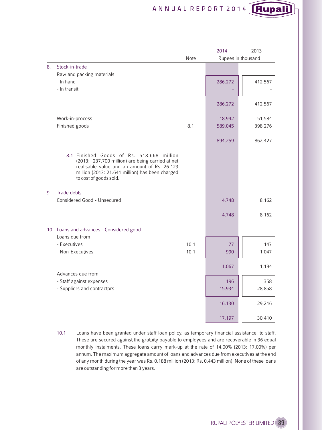ANNUAL REPORT 2014 **Rupali** 

|    |                                                                                                                                                                                                                            |             | 2014    | 2013               |
|----|----------------------------------------------------------------------------------------------------------------------------------------------------------------------------------------------------------------------------|-------------|---------|--------------------|
|    |                                                                                                                                                                                                                            | <b>Note</b> |         | Rupees in thousand |
| 8. | Stock-in-trade                                                                                                                                                                                                             |             |         |                    |
|    | Raw and packing materials                                                                                                                                                                                                  |             |         |                    |
|    | - In hand                                                                                                                                                                                                                  |             | 286,272 | 412,567            |
|    | - In transit                                                                                                                                                                                                               |             |         |                    |
|    |                                                                                                                                                                                                                            |             | 286,272 | 412,567            |
|    | Work-in-process                                                                                                                                                                                                            |             | 18,942  | 51,584             |
|    | Finished goods                                                                                                                                                                                                             | 8.1         | 589,045 | 398,276            |
|    |                                                                                                                                                                                                                            |             | 894,259 | 862,427            |
|    | 8.1 Finished Goods of Rs. 518.668 million<br>(2013: 237.700 million) are being carried at net<br>realisable value and an amount of Rs. 26.123<br>million (2013: 21.641 million) has been charged<br>to cost of goods sold. |             |         |                    |
| 9. | Trade debts                                                                                                                                                                                                                |             |         |                    |
|    | Considered Good - Unsecured                                                                                                                                                                                                |             | 4,748   | 8,162              |
|    |                                                                                                                                                                                                                            |             | 4,748   | 8,162              |
|    | 10. Loans and advances - Considered good<br>Loans due from                                                                                                                                                                 |             |         |                    |
|    | - Executives                                                                                                                                                                                                               | 10.1        | 77      | 147                |
|    | - Non-Executives                                                                                                                                                                                                           | 10.1        | 990     | 1,047              |
|    |                                                                                                                                                                                                                            |             | 1,067   | 1,194              |
|    | Advances due from<br>- Staff against expenses                                                                                                                                                                              |             | 196     | 358                |
|    | - Suppliers and contractors                                                                                                                                                                                                |             | 15,934  | 28,858             |
|    |                                                                                                                                                                                                                            |             |         |                    |
|    |                                                                                                                                                                                                                            |             | 16,130  | 29,216             |
|    |                                                                                                                                                                                                                            |             | 17,197  | 30,410             |

10.1 Loans have been granted under staff loan policy, as temporary financial assistance, to staff. These are secured against the gratuity payable to employees and are recoverable in 36 equal monthly instalments. These loans carry mark-up at the rate of 14.00% (2013: 17.00%) per annum. The maximum aggregate amount of loans and advances due from executives at the end of any month during the year was Rs. 0.188 million (2013: Rs. 0.443 million). None of these loans are outstanding for more than 3 years.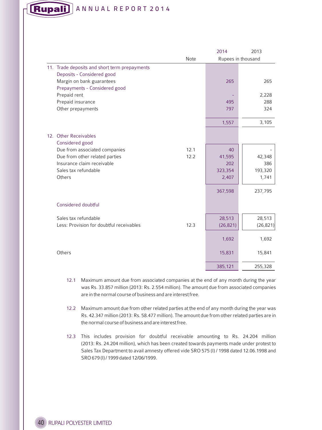**Rupali** ANNUAL REPORT 2014

|                                                                             |      | 2014               | 2013      |
|-----------------------------------------------------------------------------|------|--------------------|-----------|
|                                                                             | Note | Rupees in thousand |           |
| 11. Trade deposits and short term prepayments<br>Deposits - Considered good |      |                    |           |
| Margin on bank guarantees<br>Prepayments - Considered good                  |      | 265                | 265       |
| Prepaid rent                                                                |      |                    | 2,228     |
| Prepaid insurance                                                           |      | 495                | 288       |
| Other prepayments                                                           |      | 797                | 324       |
|                                                                             |      | 1,557              | 3,105     |
| 12. Other Receivables<br>Considered good                                    |      |                    |           |
| Due from associated companies                                               | 12.1 | 40                 |           |
| Due from other related parties                                              | 12.2 | 41,595             | 42,348    |
| Insurance claim receivable                                                  |      | 202                | 386       |
| Sales tax refundable                                                        |      | 323,354            | 193,320   |
| Others                                                                      |      | 2,407              | 1,741     |
|                                                                             |      | 367,598            | 237,795   |
| Considered doubtful                                                         |      |                    |           |
| Sales tax refundable                                                        |      | 28,513             | 28,513    |
| Less: Provision for doubtful receivables                                    | 12.3 | (26, 821)          | (26, 821) |
|                                                                             |      | 1,692              | 1,692     |
| Others                                                                      |      | 15,831             | 15,841    |
|                                                                             |      | 385,121            | 255,328   |

- 12.1 Maximum amount due from associated companies at the end of any month during the year was Rs. 33.857 million (2013: Rs. 2.554 million). The amount due from associated companies are in the normal course of business and are interest free.
- 12.2 Maximum amount due from other related parties at the end of any month during the year was Rs. 42.347 million (2013: Rs. 58.477 million). The amount due from other related parties are in the normal course of business and are interest free.
- 12.3 This includes provision for doubtful receivable amounting to Rs. 24.204 million (2013: Rs. 24.204 million), which has been created towards payments made under protest to Sales Tax Department to avail amnesty offered vide SRO 575 (I) / 1998 dated 12.06.1998 and SRO 679 (I) / 1999 dated 12/06/1999.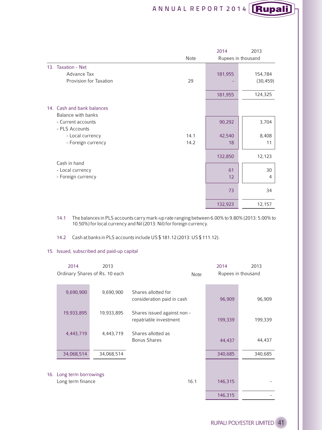ANNUAL REPORT 2014 **Rupali** 

|                                                  |      | 2014    | 2013               |
|--------------------------------------------------|------|---------|--------------------|
|                                                  | Note |         | Rupees in thousand |
| 13. Taxation - Net                               |      |         |                    |
| Advance Tax                                      |      | 181,955 | 154,784            |
| Provision for Taxation                           | 29   |         | (30, 459)          |
|                                                  |      | 181,955 | 124,325            |
| 14. Cash and bank balances<br>Balance with banks |      |         |                    |
| - Current accounts<br>- PLS Accounts             |      | 90,292  | 3,704              |
| - Local currency                                 | 14.1 | 42,540  | 8,408              |
| - Foreign currency                               | 14.2 | 18      | 11                 |
| Cash in hand                                     |      | 132,850 | 12,123             |
| - Local currency                                 |      | 61      | 30                 |
| - Foreign currency                               |      | 12      | 4                  |
|                                                  |      |         |                    |
|                                                  |      | 73      | 34                 |
|                                                  |      | 132,923 | 12,157             |

14.1 The balances in PLS accounts carry mark-up rate ranging between 6.00% to 9.80% (2013: 5.00% to 10.50%) for local currency and Nil (2013: Nil) for foreign currency.

14.2 Cash at banks in PLS accounts include US \$ 181.12 (2013: US \$ 111.12).

#### 15. Issued, subscribed and paid-up capital

| 2014                                          | 2013       |                                                       | 2014    | 2013               |
|-----------------------------------------------|------------|-------------------------------------------------------|---------|--------------------|
| Ordinary Shares of Rs. 10 each                |            | <b>Note</b>                                           |         | Rupees in thousand |
| 9,690,900                                     | 9,690,900  | Shares allotted for<br>consideration paid in cash     | 96,909  | 96,909             |
| 19,933,895                                    | 19,933,895 | Shares issued against non -<br>repatriable investment | 199,339 | 199,339            |
| 4,443,719                                     | 4,443,719  | Shares allotted as<br><b>Bonus Shares</b>             | 44,437  | 44,437             |
| 34,068,514                                    | 34,068,514 |                                                       | 340,685 | 340,685            |
| 16. Long term borrowings<br>Long term finance |            | 16.1                                                  | 146,315 |                    |
|                                               |            |                                                       |         |                    |

-

146,315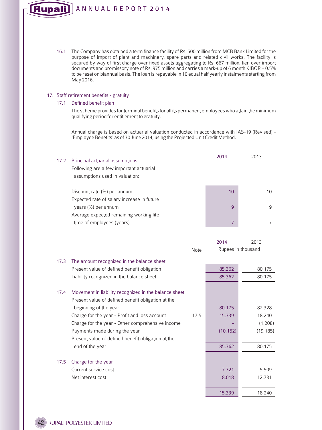ANNUAL REPORT 2014

16.1 The Company has obtained a term finance facility of Rs. 500 million from MCB Bank Limited for the purpose of import of plant and machinery, spare parts and related civil works. The facility is secured by way of first charge over fixed assets aggregating to Rs. 667 million, lien over import documents and promissory note of Rs. 975 million and carries a mark-up of 6 month KIBOR + 0.5% to be reset on biannual basis. The loan is repayable in 10 equal half yearly instalments starting from May 2016.

#### 17. Staff retirement benefits - gratuity

#### 17.1 Defined benefit plan

Rupali

The scheme provides for terminal benefits for all its permanent employees who attain the minimum qualifying period for entitlement to gratuity.

Annual charge is based on actuarial valuation conducted in accordance with IAS-19 (Revised) - 'Employee Benefits' as of 30 June 2014, using the Projected Unit Credit Method.

| 17.2 | Principal actuarial assumptions<br>Following are a few important actuarial<br>assumptions used in valuation: | 2014 | 2013 |
|------|--------------------------------------------------------------------------------------------------------------|------|------|
|      | Discount rate (%) per annum                                                                                  | 10   | 10   |
|      | Expected rate of salary increase in future                                                                   |      |      |
|      | years (%) per annum                                                                                          | 9    | 9    |
|      | Average expected remaining working life                                                                      |      |      |
|      | time of employees (years)                                                                                    | 7    |      |

|             | 2014               | 2013 |
|-------------|--------------------|------|
| <b>Note</b> | Rupees in thousand |      |

| 17.3 | The amount recognized in the balance sheet                                                                                                                                                                                                                                                                                       |      |                               |                                          |
|------|----------------------------------------------------------------------------------------------------------------------------------------------------------------------------------------------------------------------------------------------------------------------------------------------------------------------------------|------|-------------------------------|------------------------------------------|
|      | Present value of defined benefit obligation                                                                                                                                                                                                                                                                                      |      | 85,362                        | 80,175                                   |
|      | Liability recognized in the balance sheet                                                                                                                                                                                                                                                                                        |      | 85,362                        | 80,175                                   |
| 17.4 | Movement in liability recognized in the balance sheet<br>Present value of defined benefit obligation at the<br>beginning of the year<br>Charge for the year - Profit and loss account<br>Charge for the year - Other comprehensive income<br>Payments made during the year<br>Present value of defined benefit obligation at the | 17.5 | 80,175<br>15,339<br>(10, 152) | 82,328<br>18,240<br>(1,208)<br>(19, 185) |
|      | end of the year                                                                                                                                                                                                                                                                                                                  |      | 85,362                        | 80,175                                   |
| 17.5 | Charge for the year<br>Current service cost<br>Net interest cost                                                                                                                                                                                                                                                                 |      | 7,321<br>8,018                | 5,509<br>12,731                          |
|      |                                                                                                                                                                                                                                                                                                                                  |      | 15,339                        | 18,240                                   |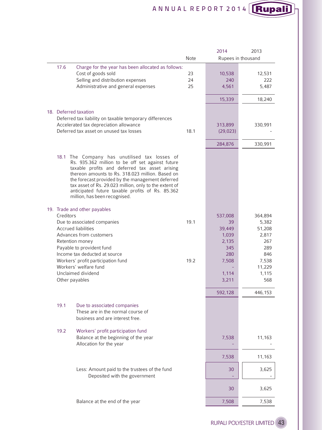ANNUAL REPORT 2014 Rupali

|      |                                                                                                                                                                                                                                                                                                                                                                                                            | <b>Note</b>    | 2014                                             | 2013<br>Rupees in thousand                        |
|------|------------------------------------------------------------------------------------------------------------------------------------------------------------------------------------------------------------------------------------------------------------------------------------------------------------------------------------------------------------------------------------------------------------|----------------|--------------------------------------------------|---------------------------------------------------|
| 17.6 | Charge for the year has been allocated as follows:<br>Cost of goods sold<br>Selling and distribution expenses<br>Administrative and general expenses                                                                                                                                                                                                                                                       | 23<br>24<br>25 | 10,538<br>240<br>4,561                           | 12,531<br>222<br>5,487                            |
|      |                                                                                                                                                                                                                                                                                                                                                                                                            |                | 15,339                                           | 18,240                                            |
|      | 18. Deferred taxation<br>Deferred tax liability on taxable temporary differences<br>Accelerated tax depreciation allowance<br>Deferred tax asset on unused tax losses                                                                                                                                                                                                                                      | 18.1           | 313,899<br>(29, 023)                             | 330,991                                           |
|      | 18.1 The Company has unutilised tax losses of<br>Rs. 935.362 million to be off set against future<br>taxable profits and deferred tax asset arising<br>thereon amounts to Rs. 318.023 million. Based on<br>the forecast provided by the management deferred<br>tax asset of Rs. 29.023 million, only to the extent of<br>anticipated future taxable profits of Rs. 85.362<br>million, has been recognised. |                | 284,876                                          | 330,991                                           |
|      | 19. Trade and other payables<br>Creditors<br>Due to associated companies<br><b>Accrued liabilities</b><br>Advances from customers<br>Retention money<br>Payable to provident fund                                                                                                                                                                                                                          | 19.1           | 537,008<br>39<br>39,449<br>1,039<br>2,135<br>345 | 364,894<br>5,382<br>51,208<br>2,817<br>267<br>289 |
|      | Income tax deducted at source<br>Workers' profit participation fund<br>Workers' welfare fund<br>Unclaimed dividend<br>Other payables                                                                                                                                                                                                                                                                       | 19.2           | 280<br>7,508<br>1,114<br>3,211                   | 846<br>7,538<br>11,229<br>1,115<br>568            |
|      |                                                                                                                                                                                                                                                                                                                                                                                                            |                | 592,128                                          | 446,153                                           |
| 19.1 | Due to associated companies<br>These are in the normal course of<br>business and are interest free.                                                                                                                                                                                                                                                                                                        |                |                                                  |                                                   |
| 19.2 | Workers' profit participation fund<br>Balance at the beginning of the year<br>Allocation for the year                                                                                                                                                                                                                                                                                                      |                | 7,538                                            | 11,163                                            |
|      |                                                                                                                                                                                                                                                                                                                                                                                                            |                | 7,538                                            | 11,163                                            |
|      | Less: Amount paid to the trustees of the fund<br>Deposited with the government                                                                                                                                                                                                                                                                                                                             |                | 30                                               | 3,625                                             |
|      |                                                                                                                                                                                                                                                                                                                                                                                                            |                | 30                                               | 3,625                                             |
|      | Balance at the end of the year                                                                                                                                                                                                                                                                                                                                                                             |                | 7,508                                            | 7,538                                             |

RUPALI POLYESTER LIMITED 43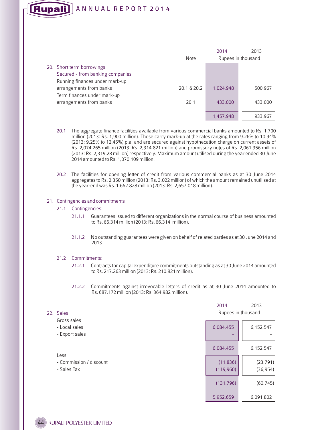ANNUAL REPORT 2014 **Rupali** 

|                                  |             | 2014      | 2013               |
|----------------------------------|-------------|-----------|--------------------|
|                                  | <b>Note</b> |           | Rupees in thousand |
| 20. Short term borrowings        |             |           |                    |
| Secured - from banking companies |             |           |                    |
| Running finances under mark-up   |             |           |                    |
| arrangements from banks          | 20.1 & 20.2 | 1,024,948 | 500,967            |
| Term finances under mark-up      |             |           |                    |
| arrangements from banks          | 20.1        | 433,000   | 433,000            |
|                                  |             |           |                    |
|                                  |             | 1,457,948 | 933,967            |

- 20.1 The aggregate finance facilities available from various commercial banks amounted to Rs. 1,700 million (2013: Rs. 1,900 million). These carry mark-up at the rates ranging from 9.26% to 10.94% (2013: 9.25% to 12.45%) p.a. and are secured against hypothecation charge on current assets of Rs. 2,074.265 million (2013: Rs. 2,314.821 million) and promissory notes of Rs. 2,061.356 million (2013: Rs. 2,319.28 million) respectively. Maximum amount utilised during the year ended 30 June 2014 amounted to Rs. 1,070.109 million.
- 20.2 The facilities for opening letter of credit from various commercial banks as at 30 June 2014 aggregates to Rs. 2,350 million (2013: Rs. 3,022 million) of which the amount remained unutilised at the year-end was Rs. 1,662.828 million (2013: Rs. 2,657.018 million).

#### 21. Contingencies and commitments

#### 21.1 Contingencies:

- 21.1.1 Guarantees issued to different organizations in the normal course of business amounted to Rs. 66.314 million (2013: Rs. 66.314 million).
- 21.1.2 No outstanding guarantees were given on behalf of related parties as at 30 June 2014 and 2013.

#### 21.2 Commitments:

- 21.2.1 Contracts for capital expenditure commitments outstanding as at 30 June 2014 amounted to Rs. 217.263 million (2013: Rs. 210.821 million).
- 21.2.2 Commitments against irrevocable letters of credit as at 30 June 2014 amounted to Rs. 687.172 million (2013: Rs. 364.982 million).

| 22. Sales                                      | 2014                   | 2013<br>Rupees in thousand |
|------------------------------------------------|------------------------|----------------------------|
| Gross sales<br>- Local sales<br>- Export sales | 6,084,455              | 6,152,547                  |
| Less:                                          | 6,084,455              | 6, 152, 547                |
| - Commission / discount<br>- Sales Tax         | (11, 836)<br>(119,960) | (23, 791)<br>(36, 954)     |
|                                                | (131, 796)             | (60, 745)                  |
|                                                | 5,952,659              | 6,091,802                  |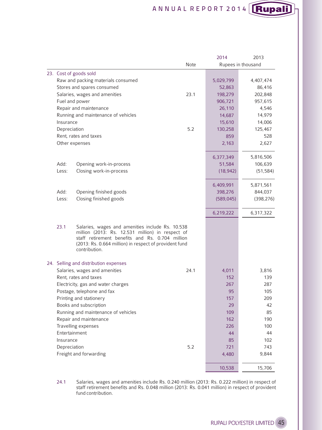ANNUAL REPORT 2014 **Rupali** 

|               |                                                                                                                                                                                                                                    |      | 2014       | 2013               |
|---------------|------------------------------------------------------------------------------------------------------------------------------------------------------------------------------------------------------------------------------------|------|------------|--------------------|
|               |                                                                                                                                                                                                                                    | Note |            | Rupees in thousand |
|               | 23. Cost of goods sold                                                                                                                                                                                                             |      |            |                    |
|               | Raw and packing materials consumed                                                                                                                                                                                                 |      | 5,029,799  | 4,407,474          |
|               | Stores and spares consumed                                                                                                                                                                                                         |      | 52,863     | 86,416             |
|               | Salaries, wages and amenities                                                                                                                                                                                                      | 23.1 | 198,279    | 202,848            |
|               | Fuel and power                                                                                                                                                                                                                     |      | 906,721    | 957,615            |
|               | Repair and maintenance                                                                                                                                                                                                             |      | 26,110     | 4,546              |
|               | Running and maintenance of vehicles                                                                                                                                                                                                |      | 14,687     | 14,979             |
| Insurance     |                                                                                                                                                                                                                                    |      | 15,610     | 14,006             |
| Depreciation  |                                                                                                                                                                                                                                    | 5.2  | 130,258    | 125,467            |
|               | Rent, rates and taxes                                                                                                                                                                                                              |      | 859        | 528                |
|               | Other expenses                                                                                                                                                                                                                     |      | 2,163      | 2,627              |
|               |                                                                                                                                                                                                                                    |      | 6,377,349  | 5,816,506          |
| Add:          | Opening work-in-process                                                                                                                                                                                                            |      | 51,584     | 106,639            |
| Less:         | Closing work-in-process                                                                                                                                                                                                            |      | (18, 942)  | (51, 584)          |
|               |                                                                                                                                                                                                                                    |      | 6,409,991  | 5,871,561          |
| Add:          | Opening finished goods                                                                                                                                                                                                             |      | 398,276    | 844,037            |
| Less:         | Closing finished goods                                                                                                                                                                                                             |      | (589, 045) | (398, 276)         |
|               |                                                                                                                                                                                                                                    |      | 6,219,222  | 6,317,322          |
| 23.1          | Salaries, wages and amenities include Rs. 10.538<br>million (2013: Rs. 12.531 million) in respect of<br>staff retirement benefits and Rs. 0.704 million<br>(2013: Rs. 0.664 million) in respect of provident fund<br>contribution. |      |            |                    |
|               | 24. Selling and distribution expenses                                                                                                                                                                                              |      |            |                    |
|               | Salaries, wages and amenities                                                                                                                                                                                                      | 24.1 | 4,011      | 3,816              |
|               | Rent, rates and taxes                                                                                                                                                                                                              |      | 152        | 139                |
|               | Electricity, gas and water charges                                                                                                                                                                                                 |      | 267        | 287                |
|               | Postage, telephone and fax                                                                                                                                                                                                         |      | 95         | 105                |
|               | Printing and stationery                                                                                                                                                                                                            |      | 157        | 209                |
|               | Books and subscription                                                                                                                                                                                                             |      | 29         | 42                 |
|               | Running and maintenance of vehicles                                                                                                                                                                                                |      | 109        | 85                 |
|               | Repair and maintenance                                                                                                                                                                                                             |      | 162        | 190                |
|               | Travelling expenses                                                                                                                                                                                                                |      | 226        | 100                |
| Entertainment |                                                                                                                                                                                                                                    |      | 44         | 44                 |
| Insurance     |                                                                                                                                                                                                                                    |      | 85         | 102                |
| Depreciation  |                                                                                                                                                                                                                                    | 5.2  | 721        | 743                |
|               | Freight and forwarding                                                                                                                                                                                                             |      | 4,480      | 9,844              |
|               |                                                                                                                                                                                                                                    |      | 10,538     | 15,706             |

24.1 Salaries, wages and amenities include Rs. 0.240 million (2013: Rs. 0.222 million) in respect of staff retirement benefits and Rs. 0.048 million (2013: Rs. 0.041 million) in respect of provident fund contribution.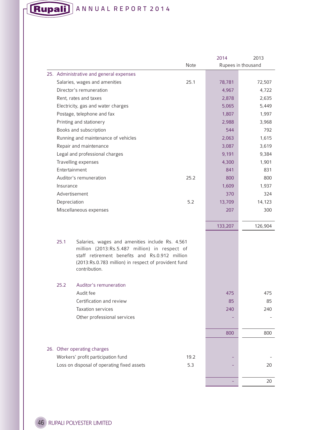Rupali ANNUAL REPORT 2014

|                        |                                                                                                                                                                                                                             |      | 2014               | 2013    |
|------------------------|-----------------------------------------------------------------------------------------------------------------------------------------------------------------------------------------------------------------------------|------|--------------------|---------|
|                        |                                                                                                                                                                                                                             | Note | Rupees in thousand |         |
|                        | 25. Administrative and general expenses                                                                                                                                                                                     |      |                    |         |
|                        | Salaries, wages and amenities                                                                                                                                                                                               | 25.1 | 78,781             | 72,507  |
|                        | Director's remuneration                                                                                                                                                                                                     |      | 4,967              | 4,722   |
|                        | Rent, rates and taxes                                                                                                                                                                                                       |      | 2,878              | 2,635   |
|                        | Electricity, gas and water charges                                                                                                                                                                                          |      | 5,065              | 5,449   |
|                        | Postage, telephone and fax                                                                                                                                                                                                  |      | 1,807              | 1,997   |
|                        | Printing and stationery                                                                                                                                                                                                     |      | 2,988              | 3,968   |
|                        | Books and subscription                                                                                                                                                                                                      |      | 544                | 792     |
|                        | Running and maintenance of vehicles                                                                                                                                                                                         |      | 2,063              | 1,615   |
|                        | Repair and maintenance                                                                                                                                                                                                      |      | 3,087              | 3,619   |
|                        | Legal and professional charges                                                                                                                                                                                              |      | 9,191              | 9,384   |
|                        | Travelling expenses                                                                                                                                                                                                         |      | 4,300              | 1,901   |
|                        | Entertainment                                                                                                                                                                                                               |      | 841                | 831     |
|                        | Auditor's remuneration                                                                                                                                                                                                      | 25.2 | 800                | 800     |
| Insurance              |                                                                                                                                                                                                                             |      | 1,609              | 1,937   |
| Advertisement          |                                                                                                                                                                                                                             |      | 370                | 324     |
| Depreciation           |                                                                                                                                                                                                                             | 5.2  | 13,709             | 14,123  |
| Miscellaneous expenses |                                                                                                                                                                                                                             |      | 207                | 300     |
|                        |                                                                                                                                                                                                                             |      |                    |         |
|                        |                                                                                                                                                                                                                             |      | 133,207            | 126,904 |
| 25.1                   | Salaries, wages and amenities include Rs. 4.561<br>million (2013:Rs.5.487 million) in respect of<br>staff retirement benefits and Rs.0.912 million<br>(2013:Rs.0.783 million) in respect of provident fund<br>contribution. |      |                    |         |
| 25.2                   | Auditor's remuneration                                                                                                                                                                                                      |      |                    |         |
|                        | Audit fee                                                                                                                                                                                                                   |      | 475                | 475     |
|                        | Certification and review                                                                                                                                                                                                    |      | 85                 | 85      |
|                        | <b>Taxation services</b>                                                                                                                                                                                                    |      | 240                | 240     |
|                        |                                                                                                                                                                                                                             |      |                    |         |
|                        | Other professional services                                                                                                                                                                                                 |      |                    |         |
|                        |                                                                                                                                                                                                                             |      | 800                | 800     |
|                        | 26. Other operating charges                                                                                                                                                                                                 |      |                    |         |
|                        | Workers' profit participation fund                                                                                                                                                                                          | 19.2 |                    |         |
|                        | Loss on disposal of operating fixed assets                                                                                                                                                                                  | 5.3  |                    | 20      |
|                        |                                                                                                                                                                                                                             |      |                    |         |
|                        |                                                                                                                                                                                                                             |      |                    | 20      |

46 RUPALI POLYESTER LIMITED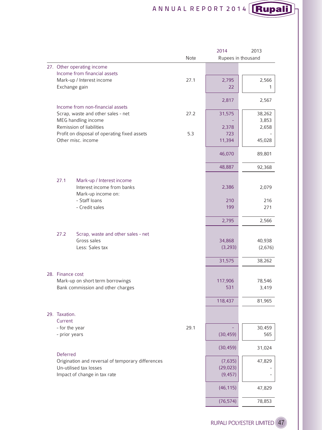ANNUAL REPORT 2014 **Rupali** 

|                  |                                                            |      | 2014               | 2013    |
|------------------|------------------------------------------------------------|------|--------------------|---------|
|                  |                                                            | Note | Rupees in thousand |         |
|                  | 27. Other operating income<br>Income from financial assets |      |                    |         |
|                  | Mark-up / Interest income                                  | 27.1 | 2,795              | 2,566   |
| Exchange gain    |                                                            |      | 22                 | 1       |
|                  | Income from non-financial assets                           |      | 2,817              | 2,567   |
|                  | Scrap, waste and other sales - net                         | 27.2 | 31,575             | 38,262  |
|                  | MEG handling income                                        |      |                    | 3,853   |
|                  | Remission of liabilities                                   |      | 2,378              | 2,658   |
|                  | Profit on disposal of operating fixed assets               | 5.3  | 723                |         |
|                  | Other misc. income                                         |      | 11,394             | 45,028  |
|                  |                                                            |      | 46,070             | 89,801  |
|                  |                                                            |      | 48,887             | 92,368  |
| 27.1             | Mark-up / Interest income                                  |      |                    |         |
|                  | Interest income from banks<br>Mark-up income on:           |      | 2,386              | 2,079   |
|                  | - Staff loans                                              |      | 210                | 216     |
|                  | - Credit sales                                             |      | 199                | 271     |
|                  |                                                            |      | 2,795              | 2,566   |
| 27.2             | Scrap, waste and other sales - net                         |      |                    |         |
|                  | Gross sales                                                |      | 34,868             | 40,938  |
|                  | Less: Sales tax                                            |      | (3, 293)           | (2,676) |
|                  |                                                            |      | 31,575             | 38,262  |
| 28. Finance cost |                                                            |      |                    |         |
|                  | Mark-up on short term borrowings                           |      | 117,906            | 78,546  |
|                  | Bank commission and other charges                          |      | 531                | 3,419   |
|                  |                                                            |      | 118,437            | 81,965  |
| 29. Taxation.    |                                                            |      |                    |         |
| Current          |                                                            |      |                    |         |
| - for the year   |                                                            | 29.1 |                    | 30,459  |
| - prior years    |                                                            |      | (30, 459)          | 565     |
| <b>Deferred</b>  |                                                            |      | (30, 459)          | 31,024  |
|                  | Origination and reversal of temporary differences          |      | (7,635)            | 47,829  |
|                  | Un-utilised tax losses                                     |      | (29, 023)          |         |
|                  | Impact of change in tax rate                               |      | (9, 457)           |         |
|                  |                                                            |      | (46, 115)          | 47,829  |
|                  |                                                            |      | (76, 574)          | 78,853  |

RUPALI POLYESTER LIMITED 47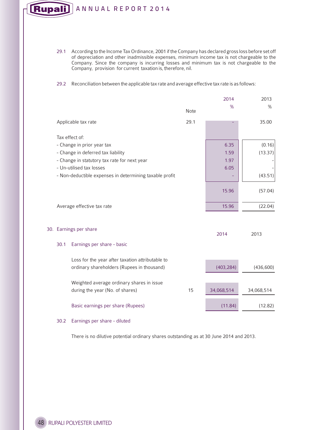ANNUAL REPORT 2014

- 29.1 According to the Income Tax Ordinance, 2001 if the Company has declared gross loss before set off of depreciation and other inadmissible expenses, minimum income tax is not chargeable to the Company. Since the company is incurring losses and minimum tax is not chargeable to the Company, provision for current taxation is, therefore, nil.
- 29.2 Reconciliation between the applicable tax rate and average effective tax rate is as follows:

|                                                         | 2014             | 2013       |
|---------------------------------------------------------|------------------|------------|
|                                                         | $\%$<br>Note     | $\%$       |
| Applicable tax rate                                     | 29.1             | 35.00      |
| Tax effect of:                                          |                  |            |
| - Change in prior year tax                              | 6.35             | (0.16)     |
| - Change in deferred tax liability                      | 1.59             | (13.37)    |
| - Change in statutory tax rate for next year            | 1.97             |            |
| - Un-utilised tax losses                                | 6.05             |            |
| - Non-deductible expenses in determining taxable profit |                  | (43.51)    |
|                                                         | 15.96            | (57.04)    |
| Average effective tax rate                              | 15.96            | (22.04)    |
|                                                         |                  |            |
| Earnings per share                                      | 2014             | 2013       |
| Earnings per share - basic<br>30.1                      |                  |            |
| Loss for the year after taxation attributable to        |                  |            |
| ordinary shareholders (Rupees in thousand)              | (403, 284)       | (436, 600) |
| Weighted average ordinary shares in issue               |                  |            |
| during the year (No. of shares)                         | 34,068,514<br>15 | 34,068,514 |
| Basic earnings per share (Rupees)                       | (11.84)          | (12.82)    |

#### 30.2 Earnings per share - diluted

 $30.$ 

Rupali

There is no dilutive potential ordinary shares outstanding as at 30 June 2014 and 2013.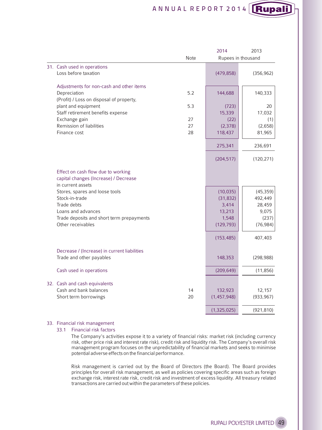ANNUAL REPORT 2014

| <b> </b> [Rupali] |
|-------------------|
|-------------------|

2014 2013

|                                                                                                      |          | ZU 14                  | 20 I J               |
|------------------------------------------------------------------------------------------------------|----------|------------------------|----------------------|
|                                                                                                      | Note     |                        | Rupees in thousand   |
| 31. Cash used in operations<br>Loss before taxation                                                  |          | (479, 858)             | (356, 962)           |
| Adjustments for non-cash and other items<br>Depreciation                                             | 5.2      | 144,688                | 140,333              |
| (Profit) / Loss on disposal of property,<br>plant and equipment<br>Staff retirement benefits expense | 5.3      | (723)<br>15,339        | 20<br>17,032         |
| Exchange gain<br>Remission of liabilities                                                            | 27<br>27 | (22)<br>(2, 378)       | (1)<br>(2,658)       |
| Finance cost                                                                                         | 28       | 118,437                | 81,965               |
|                                                                                                      |          | 275,341                | 236,691              |
|                                                                                                      |          | (204, 517)             | (120, 271)           |
| Effect on cash flow due to working<br>capital changes (Increase) / Decrease<br>in current assets     |          |                        |                      |
| Stores, spares and loose tools<br>Stock-in-trade                                                     |          | (10, 035)<br>(31, 832) | (45, 359)<br>492,449 |
| Trade debts<br>Loans and advances                                                                    |          | 3,414<br>13,213        | 28,459<br>9,075      |
| Trade deposits and short term prepayments<br>Other receivables                                       |          | 1,548<br>(129, 793)    | (237)<br>(76, 984)   |
|                                                                                                      |          | (153, 485)             | 407,403              |
| Decrease / (Increase) in current liabilities<br>Trade and other payables                             |          | 148,353                | (298, 988)           |
| Cash used in operations                                                                              |          | (209, 649)             | (11, 856)            |
| 32. Cash and cash equivalents                                                                        |          |                        |                      |
| Cash and bank balances                                                                               | 14       | 132,923                | 12,157               |
| Short term borrowings                                                                                | 20       | (1, 457, 948)          | (933, 967)           |
|                                                                                                      |          | (1, 325, 025)          | (921, 810)           |

#### 33. Financial risk management

33.1 Financial risk factors

The Company's activities expose it to a variety of financial risks: market risk (including currency risk, other price risk and interest rate risk), credit risk and liquidity risk. The Company's overall risk management program focuses on the unpredictability of financial markets and seeks to minimise potential adverse effects on the financial performance.

Risk management is carried out by the Board of Directors (the Board). The Board provides principles for overall risk management, as well as policies covering specific areas such as foreign exchange risk, interest rate risk, credit risk and investment of excess liquidity. All treasury related transactions are carried out within the parameters of these policies.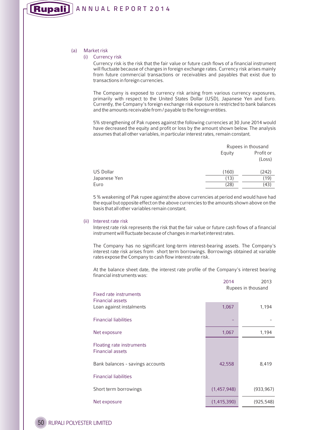

#### (a) Market risk

**Rupali** 

#### (i) Currency risk

Currency risk is the risk that the fair value or future cash flows of a financial instrument will fluctuate because of changes in foreign exchange rates. Currency risk arises mainly from future commercial transactions or receivables and payables that exist due to transactions in foreign currencies.

The Company is exposed to currency risk arising from various currency exposures, primarily with respect to the United States Dollar (USD), Japanese Yen and Euro. Currently, the Company's foreign exchange risk exposure is restricted to bank balances and the amounts receivable from / payable to the foreign entities.

5% strengthening of Pak rupees against the following currencies at 30 June 2014 would have decreased the equity and profit or loss by the amount shown below. The analysis assumes that all other variables, in particular interest rates, remain constant.

|              | Rupees in thousand |                     |
|--------------|--------------------|---------------------|
|              | Equity             | Profit or<br>(Loss) |
| US Dollar    | (160)              | (242)               |
| Japanese Yen | (13)               | (19)                |
| Euro         | (28)               | (43)                |

5 % weakening of Pak rupee against the above currencies at period end would have had the equal but opposite effect on the above currencies to the amounts shown above on the basis that all other variables remain constant.

#### (ii) Interest rate risk

Interest rate risk represents the risk that the fair value or future cash flows of a financial instrument will fluctuate because of changes in market interest rates.

The Company has no significant long-term interest-bearing assets. The Company's interest rate risk arises from short term borrowings. Borrowings obtained at variable rates expose the Company to cash flow interest rate risk.

At the balance sheet date, the interest rate profile of the Company's interest bearing financial instruments was:

| Fixed rate instruments                               | 2014          | 2013<br>Rupees in thousand |
|------------------------------------------------------|---------------|----------------------------|
| <b>Financial assets</b><br>Loan against instalments  | 1,067         | 1,194                      |
| <b>Financial liabilities</b>                         |               |                            |
| Net exposure                                         | 1,067         | 1,194                      |
| Floating rate instruments<br><b>Financial assets</b> |               |                            |
| Bank balances - savings accounts                     | 42,558        | 8,419                      |
| <b>Financial liabilities</b>                         |               |                            |
| Short term borrowings                                | (1, 457, 948) | (933, 967)                 |
| Net exposure                                         | (1, 415, 390) | (925, 548)                 |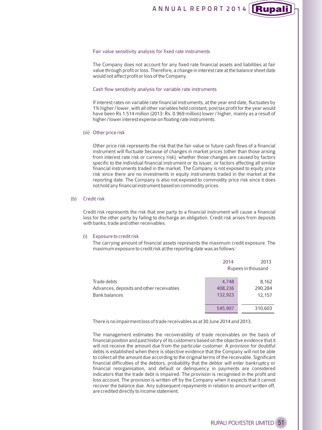ANNUAL REPORT 2014 Frupa

#### Fair value sensitivity analysis for fixed rate instruments

The Company does not account for any fixed rate financial assets and liabilities at fair value through profit or loss. Therefore, a change in interest rate at the balance sheet date would not affect profit or loss of the Company.

#### Cash flow sensitivity analysis for variable rate instruments

If interest rates on variable rate financial instruments, at the year end date, fluctuates by 1% higher / lower, with all other variables held constant, post tax profit for the year would have been Rs 1.514 million (2013: Rs. 0.969 million) lower / higher, mainly as a result of higher / lower interest expense on floating rate instruments.

#### (iii) Other price risk

Other price risk represents the risk that the fair value or future cash flows of a financial instrument will fluctuate because of changes in market prices (other than those arising from interest rate risk or currency risk), whether those changes are caused by factors specific to the individual financial instrument or its issuer, or factors affecting all similar financial instruments traded in the market. The Company is not exposed to equity price risk since there are no investments in equity instruments traded in the market at the reporting date. The Company is also not exposed to commodity price risk since it does not hold any financial instrument based on commodity prices.

#### (b) Credit risk

Credit risk represents the risk that one party to a financial instrument will cause a financial loss for the other party by failing to discharge an obligation. Credit risk arises from deposits with banks, trade and other receivables.

#### (i) Exposure to credit risk

The carrying amount of financial assets represents the maximum credit exposure. The maximum exposure to credit risk at the reporting date was as follows:

|                                          | 2014    | 2013               |
|------------------------------------------|---------|--------------------|
|                                          |         | Rupees in thousand |
| Trade debts                              | 4.748   | 8,162              |
| Advances, deposits and other receivables | 408,236 | 290,284            |
| <b>Bank balances</b>                     | 132,923 | 12,157             |
|                                          | 545,907 | 310,603            |

There is no impairment loss of trade receivables as at 30 June 2014 and 2013.

The management estimates the recoverability of trade receivables on the basis of financial position and past history of its customers based on the objective evidence that it will not receive the amount due from the particular customer. A provision for doubtful debts is established when there is objective evidence that the Company will not be able to collect all the amount due according to the original terms of the receivable. Significant financial difficulties of the debtors, probability that the debtor will enter bankruptcy or financial reorganisation, and default or delinquency in payments are considered indicators that the trade debt is impaired. The provision is recognised in the profit and loss account. The provision is written off by the Company when it expects that it cannot recover the balance due. Any subsequent repayments in relation to amount written off, are credited directly to income statement.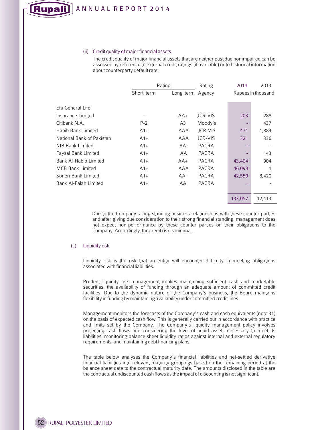**Rupali** 

#### (ii) Credit quality of major financial assets

The credit quality of major financial assets that are neither past due nor impaired can be assessed by reference to external credit ratings (if available) or to historical information about counterparty default rate:

|                           | Rating     |                  | Rating         | 2014    | 2013               |
|---------------------------|------------|------------------|----------------|---------|--------------------|
|                           | Short term | Long term Agency |                |         | Rupees in thousand |
|                           |            |                  |                |         |                    |
| Efu General Life          |            |                  |                |         |                    |
| Insurance Limited         |            | $AA+$            | JCR-VIS        | 203     | 288                |
| Citibank N.A.             | $P - 2$    | A3               | Moody's        |         | 437                |
| Habib Bank Limited        | $A1+$      | AAA              | <b>JCR-VIS</b> | 471     | 1,884              |
| National Bank of Pakistan | $A1+$      | AAA              | <b>JCR-VIS</b> | 321     | 336                |
| NIB Bank Limited          | $A1+$      | $AA-$            | PACRA          |         |                    |
| Faysal Bank Limited       | $A1+$      | AA               | PACRA          |         | 143                |
| Bank Al-Habib Limited     | $A1+$      | $AA+$            | PACRA          | 43,404  | 904                |
| <b>MCB Bank Limited</b>   | $A1+$      | AAA              | PACRA          | 46,099  |                    |
| Soneri Bank Limited       | $A1+$      | AA-              | PACRA          | 42,559  | 8,420              |
| Bank Al-Falah Limited     | $A1+$      | AA               | <b>PACRA</b>   |         |                    |
|                           |            |                  |                |         |                    |
|                           |            |                  |                | 133,057 | 12,413             |

Due to the Company's long standing business relationships with these counter parties and after giving due consideration to their strong financial standing, management does not expect non-performance by these counter parties on their obligations to the Company. Accordingly, the credit risk is minimal.

#### (c) Liquidity risk

Liquidity risk is the risk that an entity will encounter difficulty in meeting obligations associated with financial liabilities.

Prudent liquidity risk management implies maintaining sufficient cash and marketable securities, the availability of funding through an adequate amount of committed credit facilities. Due to the dynamic nature of the Company's business, the Board maintains flexibility in funding by maintaining availability under committed credit lines.

Management monitors the forecasts of the Company's cash and cash equivalents (note 31) on the basis of expected cash flow. This is generally carried out in accordance with practice and limits set by the Company. The Company's liquidity management policy involves projecting cash flows and considering the level of liquid assets necessary to meet its liabilities, monitoring balance sheet liquidity ratios against internal and external regulatory requirements, and maintaining debt financing plans.

The table below analyses the Company's financial liabilities and net-settled derivative financial liabilities into relevant maturity groupings based on the remaining period at the balance sheet date to the contractual maturity date. The amounts disclosed in the table are the contractual undiscounted cash flows as the impact of discounting is not significant.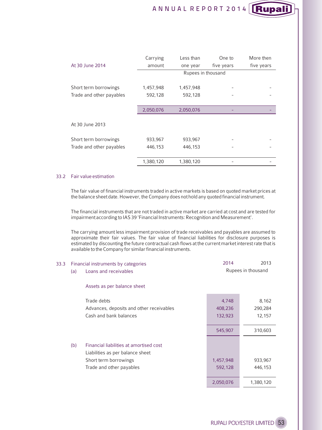ANNUAL REPORT 2014 **Rupal** 



|                          | Carrying  | Less than          | One to     | More then  |
|--------------------------|-----------|--------------------|------------|------------|
| At 30 June 2014          | amount    | one year           | five years | five years |
|                          |           | Rupees in thousand |            |            |
| Short term borrowings    | 1,457,948 | 1,457,948          |            |            |
| Trade and other payables | 592,128   | 592,128            |            |            |
|                          | 2,050,076 | 2,050,076          |            |            |
| At 30 June 2013          |           |                    |            |            |
| Short term borrowings    | 933,967   | 933,967            |            |            |
| Trade and other payables | 446,153   | 446,153            |            |            |
|                          | 1,380,120 | 1,380,120          |            |            |
|                          |           |                    |            |            |

#### 33.2 Fair value estimation

The fair value of financial instruments traded in active markets is based on quoted market prices at the balance sheet date. However, the Company does not hold any quoted financial instrument.

The financial instruments that are not traded in active market are carried at cost and are tested for impairment according to IAS 39 'Financial Instruments: Recognition and Measurement'.

The carrying amount less impairment provision of trade receivables and payables are assumed to approximate their fair values. The fair value of financial liabilities for disclosure purposes is estimated by discounting the future contractual cash flows at the current market interest rate that is available to the Company for similar financial instruments.

| 33.3 |     | Financial instruments by categories                                         | 2014      | 2013               |
|------|-----|-----------------------------------------------------------------------------|-----------|--------------------|
|      | (a) | Loans and receivables                                                       |           | Rupees in thousand |
|      |     | Assets as per balance sheet                                                 |           |                    |
|      |     | Trade debts                                                                 | 4,748     | 8,162              |
|      |     | Advances, deposits and other receivables                                    | 408,236   | 290,284            |
|      |     | Cash and bank balances                                                      | 132,923   | 12,157             |
|      |     |                                                                             | 545,907   | 310,603            |
|      | (b) | Financial liabilities at amortised cost<br>Liabilities as per balance sheet |           |                    |
|      |     | Short term borrowings                                                       | 1,457,948 | 933,967            |
|      |     | Trade and other payables                                                    | 592,128   | 446,153            |
|      |     |                                                                             | 2,050,076 | 1,380,120          |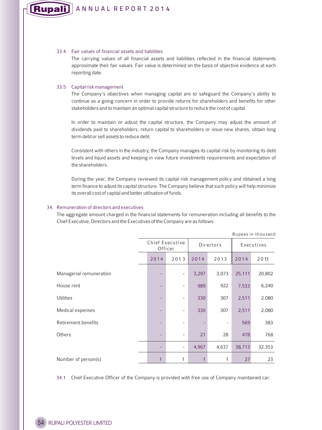

#### 33.4 Fair values of financial assets and liabilities

The carrying values of all financial assets and liabilities reflected in the financial statements approximate their fair values. Fair value is determined on the basis of objective evidence at each reporting date.

#### 33.5 Capital risk management

Rupali

The Company's objectives when managing capital are to safeguard the Company's ability to continue as a going concern in order to provide returns for shareholders and benefits for other stakeholders and to maintain an optimal capital structure to reduce the cost of capital.

In order to maintain or adjust the capital structure, the Company may adjust the amount of dividends paid to shareholders, return capital to shareholders or issue new shares, obtain long term debt or sell assets to reduce debt.

Consistent with others in the industry, the Company manages its capital risk by monitoring its debt levels and liquid assets and keeping in view future investments requirements and expectation of the shareholders.

During the year, the Company reviewed its capital risk management policy and obtained a long term finance to adjust its capital structure. The Company believe that such policy will help minimize its overall cost of capital and better utilisation of funds.

#### 34. Remuneration of directors and executives

The aggregate amount charged in the financial statements for remuneration including all benefits to the Chief Executive, Directors and the Executives of the Company are as follows:

|                         |      |                            |       |                   |        | Kapcco III (Housand |
|-------------------------|------|----------------------------|-------|-------------------|--------|---------------------|
|                         |      | Chief Executive<br>Officer |       | Directors         |        | Executives          |
|                         | 2014 | 2013                       | 2014  | 2013              | 2014   | 2013                |
| Managerial remuneration |      | -                          | 3,297 | 3,073             | 25,111 | 20,802              |
| House rent              |      |                            | 989   | 922               | 7,533  | 6,240               |
| <b>Utilities</b>        |      | -                          | 330   | 307               | 2,511  | 2,080               |
| Medical expenses        |      |                            | 330   | 307               | 2,511  | 2,080               |
| Retirement benefits     |      |                            |       | $\qquad \qquad -$ | 569    | 383                 |
| Others                  |      |                            | 21    | 28                | 478    | 768                 |
|                         |      |                            | 4,967 | 4,637             | 38,713 | 32,353              |
| Number of person(s)     | 1    |                            | 1     | 1                 | 27     | 23                  |

Rupees in thousand

34.1 Chief Executive Officer of the Company is provided with free use of Company maintained car.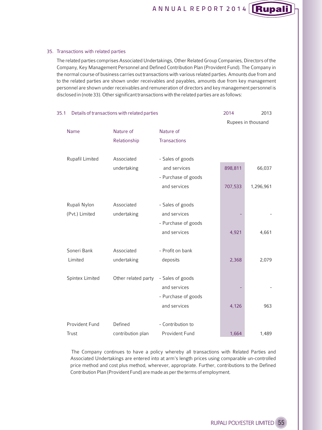## ANNUAL REPORT 2014 **Rupali**



#### 35. Transactions with related parties

The related parties comprises Associated Undertakings, Other Related Group Companies, Directors of the Company, Key Management Personnel and Defined Contribution Plan (Provident Fund). The Company in the normal course of business carries out transactions with various related parties. Amounts due from and to the related parties are shown under receivables and payables, amounts due from key management personnel are shown under receivables and remuneration of directors and key management personnel is disclosed in (note 33). Other significant transactions with the related parties are as follows:

| 35.1 |                 | Details of transactions with related parties |                     | 2014    | 2013               |
|------|-----------------|----------------------------------------------|---------------------|---------|--------------------|
|      |                 |                                              |                     |         | Rupees in thousand |
|      | Name            | Nature of                                    | Nature of           |         |                    |
|      |                 | Relationship                                 | <b>Transactions</b> |         |                    |
|      | Rupafil Limited | Associated                                   | - Sales of goods    |         |                    |
|      |                 | undertaking                                  | and services        | 898,811 | 66,037             |
|      |                 |                                              | - Purchase of goods |         |                    |
|      |                 |                                              | and services        | 707,533 | 1,296,961          |
|      | Rupali Nylon    | Associated                                   | - Sales of goods    |         |                    |
|      | (Pvt.) Limited  | undertaking                                  | and services        |         |                    |
|      |                 |                                              | - Purchase of goods |         |                    |
|      |                 |                                              | and services        | 4,921   | 4,661              |
|      | Soneri Bank     | Associated                                   | - Profit on bank    |         |                    |
|      | Limited         | undertaking                                  | deposits            | 2,368   | 2,079              |
|      | Spintex Limited | Other related party                          | - Sales of goods    |         |                    |
|      |                 |                                              | and services        |         |                    |
|      |                 |                                              | - Purchase of goods |         |                    |
|      |                 |                                              | and services        | 4,126   | 963                |
|      | Provident Fund  | Defined                                      | - Contribution to   |         |                    |
|      | Trust           | contribution plan                            | Provident Fund      | 1,664   | 1,489              |
|      |                 |                                              |                     |         |                    |

The Company continues to have a policy whereby all transactions with Related Parties and Associated Undertakings are entered into at arm's length prices using comparable un-controlled price method and cost plus method, wherever, appropriate. Further, contributions to the Defined Contribution Plan (Provident Fund) are made as per the terms of employment.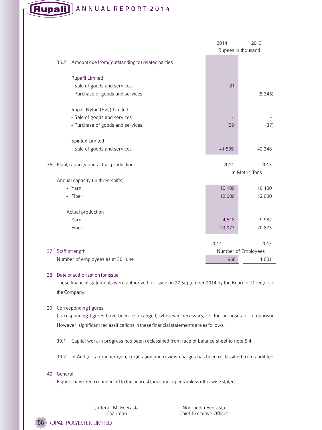ANNUAL REPORT 2014 [Rupali]

|                                                          | 2014   | 2013                |
|----------------------------------------------------------|--------|---------------------|
|                                                          |        | Rupees in thousand  |
| Amount due from/(outstanding to) related parties<br>35.2 |        |                     |
| <b>Rupafil Limited</b>                                   |        |                     |
| - Sale of goods and services                             | 21     |                     |
| - Purchase of goods and services                         |        | (5, 345)            |
| Rupali Nylon (Pvt.) Limited                              |        |                     |
| - Sale of goods and services                             |        |                     |
| - Purchase of goods and services                         | (39)   | (37)                |
| Spintex Limited                                          |        |                     |
| - Sale of goods and services                             | 41,595 | 42,348              |
| 36. Plant capacity and actual production                 | 2014   | 2013                |
| Annual capacity (in three shifts)                        |        | In Metric Tons      |
| - Yarn                                                   | 10,100 | 10,100              |
| - Fiber                                                  | 12,000 | 12,000              |
| Actual production                                        |        |                     |
| - Yarn                                                   | 4,518  | 9,982               |
| - Fiber                                                  |        |                     |
|                                                          | 23,973 | 20,873              |
|                                                          | 2014   | 2013                |
| 37. Staff strength                                       |        | Number of Employees |
| Number of employees as at 30 June                        | 968    | 1,001               |

#### 38. Date of authorization for issue

These financial statements were authorized for issue on 27 September 2014 by the Board of Directors of the Company.

#### 39. Corresponding figures

Corresponding figures have been re-arranged, wherever necessary, for the purposes of comparison. However, significant reclassifications in these financial statements are as follows:

- 39.1 Capital work in progress has been reclassified from face of balance sheet to note 5.4.
- 39.2 In Auditor's remuneration, certifcation and review charges has been reclassified from audit fee.

#### 40. General

Figures have been rounded off to the nearest thousand rupees unless otherwise stated.

Jafferali M. Feerasta Chairman

Nooruddin Feerasta Chief Executive Officer

**56** RUPALI POLYESTER LIMITED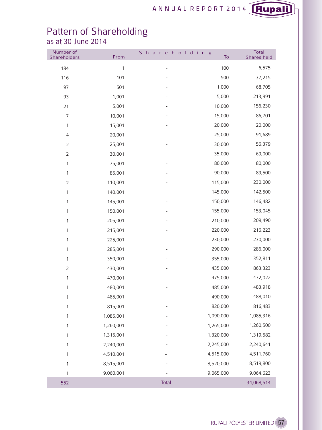ANNUAL REPORT 2014 **Rupali** 

## Pattern of Shareholding



| Number of<br>Shareholders | From      | S<br>hareholding         | To        | <b>Total</b><br>Shares held |
|---------------------------|-----------|--------------------------|-----------|-----------------------------|
| 184                       | 1         |                          | 100       | 6,575                       |
| 116                       | 101       |                          | 500       | 37,215                      |
| 97                        | 501       |                          | 1,000     | 68,705                      |
| 93                        | 1,001     |                          | 5,000     | 213,991                     |
| 21                        | 5,001     |                          | 10,000    | 156,230                     |
| $\overline{7}$            | 10,001    |                          | 15,000    | 86,701                      |
| 1                         | 15,001    |                          | 20,000    | 20,000                      |
| $\overline{4}$            | 20,001    |                          | 25,000    | 91,689                      |
| $\overline{2}$            | 25,001    |                          | 30,000    | 56,379                      |
| $\mathbf{2}$              | 30,001    |                          | 35,000    | 69,000                      |
| $\mathbf{1}$              | 75,001    |                          | 80,000    | 80,000                      |
| $\mathbf{1}$              | 85,001    |                          | 90,000    | 89,500                      |
| $\mathbf{2}$              | 110,001   |                          | 115,000   | 230,000                     |
| $\mathbf{1}$              | 140,001   |                          | 145,000   | 142,500                     |
| $\mathbf{1}$              | 145,001   |                          | 150,000   | 146,482                     |
| $\mathbf{1}$              | 150,001   |                          | 155,000   | 153,045                     |
| 1                         | 205,001   |                          | 210,000   | 209,490                     |
| $\mathbf{1}$              | 215,001   |                          | 220,000   | 216,223                     |
| $\mathbbm{1}$             | 225,001   |                          | 230,000   | 230,000                     |
| 1                         | 285,001   |                          | 290,000   | 286,000                     |
| $\mathbf{1}$              | 350,001   |                          | 355,000   | 352,811                     |
| $\overline{2}$            | 430,001   |                          | 435,000   | 863,323                     |
| $\mathbf{1}$              | 470,001   |                          | 475,000   | 472,022                     |
| 1                         | 480,001   |                          | 485,000   | 483,918                     |
| $\mathbf 1$               | 485,001   | $\overline{\phantom{0}}$ | 490,000   | 488,010                     |
| $\mathbf{1}$              | 815,001   |                          | 820,000   | 816,483                     |
| $\mathbf{1}$              | 1,085,001 |                          | 1,090,000 | 1,085,316                   |
| $\mathbf{1}$              | 1,260,001 |                          | 1,265,000 | 1,260,500                   |
| $\mathbf{1}$              | 1,315,001 |                          | 1,320,000 | 1,319,582                   |
| $\mathbf{1}$              | 2,240,001 |                          | 2,245,000 | 2,240,641                   |
| $\mathbf{1}$              | 4,510,001 |                          | 4,515,000 | 4,511,760                   |
| $\mathbf{1}$              | 8,515,001 |                          | 8,520,000 | 8,519,800                   |
| 1                         | 9,060,001 |                          | 9,065,000 | 9,064,623                   |
| 552                       |           | Total                    |           | 34,068,514                  |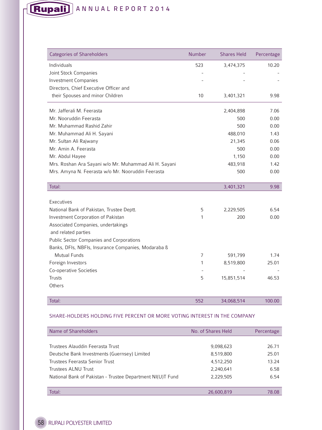**Rupali** ANNUAL REPORT 2014

| <b>Categories of Shareholders</b>                         | <b>Number</b> | <b>Shares Held</b> | Percentage |
|-----------------------------------------------------------|---------------|--------------------|------------|
| Individuals                                               | 523           | 3,474,375          | 10.20      |
| Joint Stock Companies                                     |               |                    |            |
| <b>Investment Companies</b>                               |               |                    |            |
| Directors, Chief Executive Officer and                    |               |                    |            |
| their Spouses and minor Children                          | 10            | 3,401,321          | 9.98       |
| Mr. Jafferali M. Feerasta                                 |               | 2,404,898          | 7.06       |
| Mr. Nooruddin Feerasta                                    |               | 500                | 0.00       |
| Mr. Muhammad Rashid Zahir                                 |               | 500                | 0.00       |
| Mr. Muhammad Ali H. Sayani                                |               | 488,010            | 1.43       |
| Mr. Sultan Ali Rajwany                                    |               | 21,345             | 0.06       |
| Mr. Amin A. Feerasta                                      |               | 500                | 0.00       |
| Mr. Abdul Hayee                                           |               | 1,150              | 0.00       |
| Mrs. Roshan Ara Sayani w/o Mr. Muhammad Ali H. Sayani     |               | 483,918            | 1.42       |
| Mrs. Amyna N. Feerasta w/o Mr. Nooruddin Feerasta         |               | 500                | 0.00       |
|                                                           |               |                    |            |
| Total:                                                    |               | 3,401,321          | 9.98       |
|                                                           |               |                    |            |
| Executives                                                |               |                    |            |
| National Bank of Pakistan, Trustee Deptt.                 | 5             | 2,229,505          | 6.54       |
| Investment Corporation of Pakistan                        | 1             | 200                | 0.00       |
| Associated Companies, undertakings<br>and related parties |               |                    |            |
| Public Sector Companies and Corporations                  |               |                    |            |
| Banks, DFIs, NBFIs, Insurance Companies, Modaraba &       |               |                    |            |
| <b>Mutual Funds</b>                                       | 7             | 591,799            | 1.74       |
| Foreign Investors                                         | 1             | 8,519,800          | 25.01      |
| Co-operative Societies                                    |               |                    |            |
| <b>Trusts</b>                                             | 5             | 15,851,514         | 46.53      |
| Others                                                    |               |                    |            |
|                                                           |               |                    |            |
| Total:                                                    | 552           | 34,068,514         | 100.00     |

#### SHARE-HOLDERS HOLDING FIVE PERCENT OR MORE VOTING INTEREST IN THE COMPANY

| Name of Shareholders                                       | No. of Shares Held | Percentage |
|------------------------------------------------------------|--------------------|------------|
|                                                            |                    |            |
| Trustees Alauddin Feerasta Trust                           | 9,098,623          | 26.71      |
| Deutsche Bank Investments (Guernsey) Limited               | 8,519,800          | 25.01      |
| Trustees Feerasta Senior Trust                             | 4,512,250          | 13.24      |
| Trustees ALNU Trust                                        | 2,240,641          | 6.58       |
| National Bank of Pakistan - Trustee Department NI(U)T Fund | 2,229,505          | 6.54       |
|                                                            |                    |            |
| Total:                                                     | 26.600.819         | 78.08      |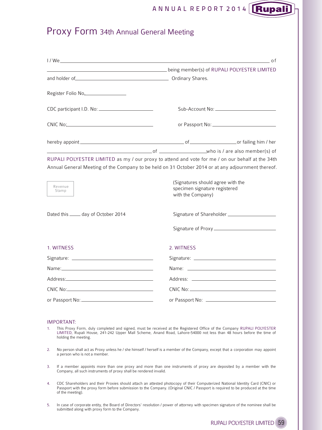ANNUAL REPORT 2014 [Rupal]

## Proxy Form 34th Annual General Meeting

|                                                                                                                | ing member(s) of RUPALI POLYESTER LIMITED                                                                                                                                                                                      |
|----------------------------------------------------------------------------------------------------------------|--------------------------------------------------------------------------------------------------------------------------------------------------------------------------------------------------------------------------------|
| and holder of Committee Committee Committee Committee Committee Committee Committee Committee Committee Commit |                                                                                                                                                                                                                                |
| Register Folio No.                                                                                             |                                                                                                                                                                                                                                |
|                                                                                                                |                                                                                                                                                                                                                                |
| CNIC No: <u>CNIC Note</u>                                                                                      | or Passport No: __________________________                                                                                                                                                                                     |
|                                                                                                                |                                                                                                                                                                                                                                |
|                                                                                                                | example and the set of the set of the set of the set of the set of the set of the set of the set of the set of the set of the set of the set of the set of the set of the set of the set of the set of the set of the set of t |
|                                                                                                                | RUPALI POLYESTER LIMITED as my / our proxy to attend and vote for me / on our behalf at the 34th                                                                                                                               |
|                                                                                                                | Annual General Meeting of the Company to be held on 31 October 2014 or at any adjournment thereof.                                                                                                                             |
|                                                                                                                | (Signatures should agree with the                                                                                                                                                                                              |
| Revenue<br>Stamp                                                                                               | specimen signature registered                                                                                                                                                                                                  |
|                                                                                                                | with the Company)                                                                                                                                                                                                              |
| Dated this _____ day of October 2014                                                                           | Signature of Shareholder _____________________                                                                                                                                                                                 |
|                                                                                                                |                                                                                                                                                                                                                                |
|                                                                                                                |                                                                                                                                                                                                                                |
|                                                                                                                | 2. WITNESS                                                                                                                                                                                                                     |
|                                                                                                                |                                                                                                                                                                                                                                |
|                                                                                                                |                                                                                                                                                                                                                                |
| 1. WITNESS                                                                                                     |                                                                                                                                                                                                                                |
| CNIC No.                                                                                                       |                                                                                                                                                                                                                                |

#### IMPORTANT:

- 1. This Proxy Form, duly completed and signed, must be received at the Registered Office of the Company RUPALI POLYESTER LIMITED, Rupali House, 241-242 Upper Mall Scheme, Anand Road, Lahore-54000 not less than 48 hours before the time of holding the meeting.
- 2. No person shall act as Proxy unless he / she himself / herself is a member of the Company, except that a corporation may appoint a person who is not a member.
- 3. If a member appoints more than one proxy and more than one instruments of proxy are deposited by a member with the Company, all such instruments of proxy shall be rendered invalid.
- 4. CDC Shareholders and their Proxies should attach an attested photocopy of their Computerized National Identity Card (CNIC) or Passport with the proxy form before submission to the Company. (Original CNIC / Passport is required to be produced at the time of the meeting).
- 5. In case of corporate entity, the Board of Directors' resolution / power of attorney with specimen signature of the nominee shall be submitted along with proxy form to the Company.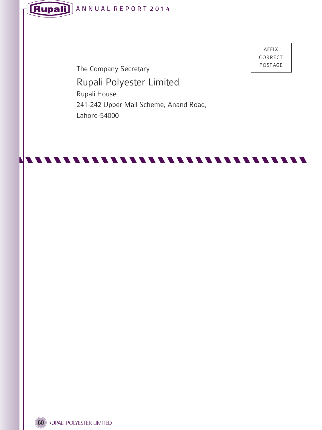

AFFIX CORRECT

The Company Secretary **Example 20 YOSTAGE** Rupali Polyester Limited Rupali House, 241-242 Upper Mall Scheme, Anand Road, Lahore-54000